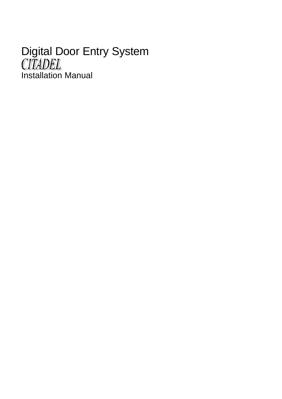# Digital Door Entry System Installation Manual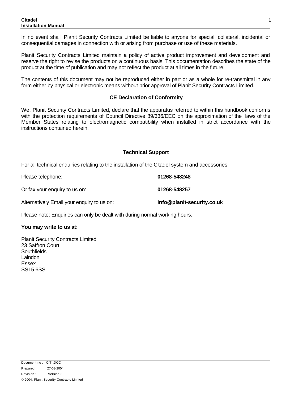In no event shall Planit Security Contracts Limited be liable to anyone for special, collateral, incidental or consequential damages in connection with or arising from purchase or use of these materials.

Planit Security Contracts Limited maintain a policy of active product improvement and development and reserve the right to revise the products on a continuous basis. This documentation describes the state of the product at the time of publication and may not reflect the product at all times in the future.

The contents of this document may not be reproduced either in part or as a whole for re-transmittal in any form either by physical or electronic means without prior approval of Planit Security Contracts Limited.

#### **CE Declaration of Conformity**

We, Planit Security Contracts Limited, declare that the apparatus referred to within this handbook conforms with the protection requirements of Council Directive 89/336/EEC on the approximation of the laws of the Member States relating to electromagnetic compatibility when installed in strict accordance with the instructions contained herein.

#### **Technical Support**

For all technical enquiries relating to the installation of the Citadel system and accessories,

Please telephone: **01268-548248**

Or fax your enquiry to us on: **01268-548257**

Alternatively Email your enquiry to us on: **info@planit-security.co.uk**

Please note: Enquiries can only be dealt with during normal working hours.

#### **You may write to us at:**

Planit Security Contracts Limited 23 Saffron Court **Southfields** Laindon Essex SS15 6SS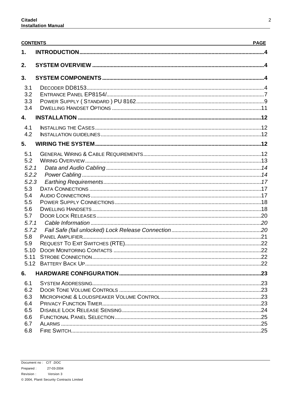|            | <b>CONTENTS</b> | <b>PAGE</b> |
|------------|-----------------|-------------|
| 1.         |                 |             |
| 2.         |                 |             |
| 3.         |                 |             |
| 3.1        |                 |             |
| 3.2        |                 |             |
| 3.3        |                 |             |
| 3.4        |                 |             |
| 4.         |                 |             |
| 4.1        |                 |             |
| 4.2        |                 |             |
| 5.         |                 |             |
| 5.1        |                 |             |
| 5.2        |                 |             |
| 5.2.1      |                 |             |
| 5.2.2      |                 |             |
| 5.2.3      |                 |             |
| 5.3        |                 |             |
| 5.4        |                 |             |
| 5.5        |                 |             |
| 5.6        |                 |             |
| 5.7        |                 |             |
| 5.7.1      |                 |             |
| 5.7.2      |                 |             |
| 5.8        |                 |             |
| 5.9        |                 |             |
|            |                 |             |
|            |                 |             |
|            |                 |             |
| 6.         |                 |             |
| 6.1        |                 |             |
| 6.2        |                 |             |
| 6.3        |                 |             |
| 6.4        |                 |             |
| 6.5        |                 |             |
| 6.6<br>6.7 |                 |             |
| 6.8        |                 |             |
|            |                 |             |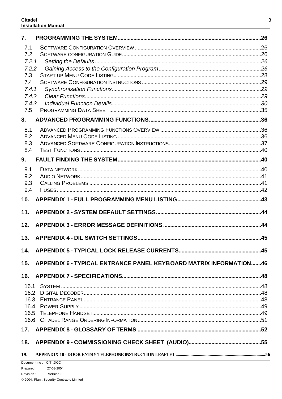| 7.           |                                                                   |  |
|--------------|-------------------------------------------------------------------|--|
| 7.1          |                                                                   |  |
| 7.2          |                                                                   |  |
| 7.2.1        |                                                                   |  |
| 7.2.2<br>7.3 |                                                                   |  |
| 7.4          |                                                                   |  |
| 7.4.1        |                                                                   |  |
| 7.4.2        |                                                                   |  |
| 7.4.3        |                                                                   |  |
| 7.5          |                                                                   |  |
| 8.           |                                                                   |  |
| 8.1          |                                                                   |  |
| 8.2          |                                                                   |  |
| 8.3          |                                                                   |  |
| 8.4          |                                                                   |  |
| 9.           |                                                                   |  |
| 9.1          |                                                                   |  |
| 9.2          |                                                                   |  |
| 9.3          |                                                                   |  |
| 9.4          |                                                                   |  |
| 10.          |                                                                   |  |
| 11.          |                                                                   |  |
| 12.          |                                                                   |  |
| 13.          |                                                                   |  |
|              |                                                                   |  |
| 15.          | APPENDIX 6 - TYPICAL ENTRANCE PANEL KEYBOARD MATRIX INFORMATION46 |  |
| 16.          |                                                                   |  |
|              |                                                                   |  |
|              |                                                                   |  |
|              |                                                                   |  |
|              |                                                                   |  |
|              |                                                                   |  |
|              |                                                                   |  |
|              |                                                                   |  |
| 18.          |                                                                   |  |
| 19.          |                                                                   |  |
|              | Document no: CIT .DOC                                             |  |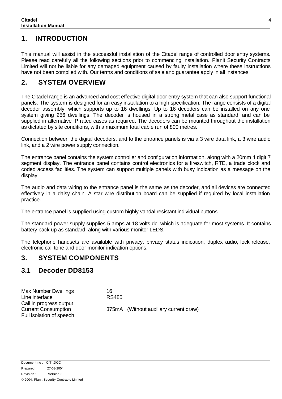### **1. INTRODUCTION**

This manual will assist in the successful installation of the Citadel range of controlled door entry systems. Please read carefully all the following sections prior to commencing installation. Planit Security Contracts Limited will not be liable for any damaged equipment caused by faulty installation where these instructions have not been complied with. Our terms and conditions of sale and guarantee apply in all instances.

### **2. SYSTEM OVERVIEW**

The Citadel range is an advanced and cost effective digital door entry system that can also support functional panels. The system is designed for an easy installation to a high specification. The range consists of a digital decoder assembly, which supports up to 16 dwellings. Up to 16 decoders can be installed on any one system giving 256 dwellings. The decoder is housed in a strong metal case as standard, and can be supplied in alternative IP rated cases as required. The decoders can be mounted throughout the installation as dictated by site conditions, with a maximum total cable run of 800 metres.

Connection between the digital decoders, and to the entrance panels is via a 3 wire data link, a 3 wire audio link, and a 2 wire power supply connection.

The entrance panel contains the system controller and configuration information, along with a 20mm 4 digit 7 segment display. The entrance panel contains control electronics for a fireswitch, RTE, a trade clock and coded access facilities. The system can support multiple panels with busy indication as a message on the display.

The audio and data wiring to the entrance panel is the same as the decoder, and all devices are connected effectively in a daisy chain. A star wire distribution board can be supplied if required by local installation practice.

The entrance panel is supplied using custom highly vandal resistant individual buttons.

The standard power supply supplies 5 amps at 18 volts dc, which is adequate for most systems. It contains battery back up as standard, along with various monitor LEDS.

The telephone handsets are available with privacy, privacy status indication, duplex audio, lock release, electronic call tone and door monitor indication options.

### **3. SYSTEM COMPONENTS**

### **3.1 Decoder DD8153**

Max Number Dwellings 16<br>
Line interface 1990 188485 Line interface Call in progress output Current Consumption 375mA (Without auxiliary current draw) Full isolation of speech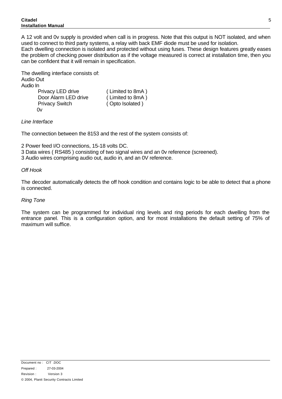#### **Citadel Installation Manual**

A 12 volt and 0v supply is provided when call is in progress. Note that this output is NOT isolated, and when used to connect to third party systems, a relay with back EMF diode must be used for isolation. Each dwelling connection is isolated and protected without using fuses. These design features greatly eases the problem of checking power distribution as if the voltage measured is correct at installation time, then you can be confident that it will remain in specification.

The dwelling interface consists of: Audio Out Audio In Privacy LED drive (Limited to 8mA) Door Alarm LED drive (Limited to 8mA) Privacy Switch ( Opto Isolated ) 0v

#### *Line Interface*

The connection between the 8153 and the rest of the system consists of:

2 Power feed I/O connections, 15-18 volts DC.

3 Data wires ( RS485 ) consisting of two signal wires and an 0v reference (screened).

3 Audio wires comprising audio out, audio in, and an 0V reference.

#### *Off Hook*

The decoder automatically detects the off hook condition and contains logic to be able to detect that a phone is connected.

#### *Ring Tone*

The system can be programmed for individual ring levels and ring periods for each dwelling from the entrance panel. This is a configuration option, and for most installations the default setting of 75% of maximum will suffice.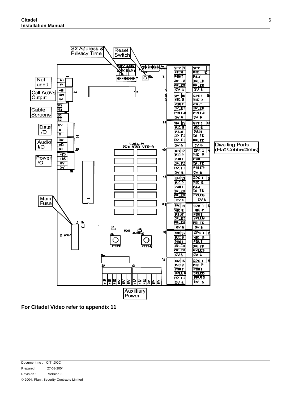

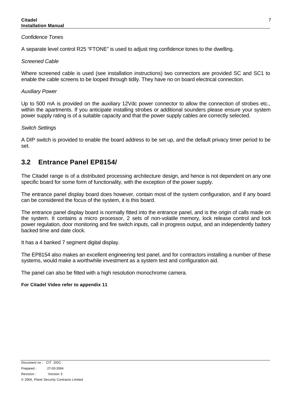#### *Confidence Tones*

A separate level control R25 "FTONE" is used to adjust ring confidence tones to the dwelling.

#### *Screened Cable*

Where screened cable is used (see installation instructions) two connectors are provided SC and SC1 to enable the cable screens to be looped through tidily. They have no on board electrical connection.

#### *Auxiliary Power*

Up to 500 mA is provided on the auxiliary 12Vdc power connector to allow the connection of strobes etc., within the apartments. If you anticipate installing strobes or additional sounders please ensure your system power supply rating is of a suitable capacity and that the power supply cables are correctly selected.

#### *Switch Settings*

A DIP switch is provided to enable the board address to be set up, and the default privacy timer period to be set.

### **3.2 Entrance Panel EP8154/**

The Citadel range is of a distributed processing architecture design, and hence is not dependent on any one specific board for some form of functionality, with the exception of the power supply.

The entrance panel display board does however, contain most of the system configuration, and if any board can be considered the focus of the system, it is this board.

The entrance panel display board is normally fitted into the entrance panel, and is the origin of calls made on the system. It contains a micro processor, 2 sets of non-volatile memory, lock release control and lock power regulation, door monitoring and fire switch inputs, call in progress output, and an independently battery backed time and date clock.

It has a 4 banked 7 segment digital display.

The EP8154 also makes an excellent engineering test panel, and for contractors installing a number of these systems, would make a worthwhile investment as a system test and configuration aid.

The panel can also be fitted with a high resolution monochrome camera.

#### **For Citadel Video refer to appendix 11**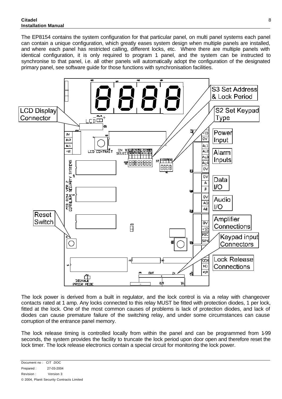The EP8154 contains the system configuration for that particular panel, on multi panel systems each panel can contain a unique configuration, which greatly eases system design when multiple panels are installed, and where each panel has restricted calling, different locks, etc. Where there are multiple panels with identical configuration, it is only required to program 1 panel, and the system can be instructed to synchronise to that panel, i.e. all other panels will automatically adopt the configuration of the designated primary panel, see software guide for those functions with synchronisation facilities.



The lock power is derived from a built in regulator, and the lock control is via a relay with changeover contacts rated at 1 amp. Any locks connected to this relay MUST be fitted with protection diodes, 1 per lock, fitted at the lock. One of the most common causes of problems is lack of protection diodes, and lack of diodes can cause premature failure of the switching relay, and under some circumstances can cause corruption of the entrance panel memory.

The lock release timing is controlled locally from within the panel and can be programmed from 1-99 seconds, the system provides the facility to truncate the lock period upon door open and therefore reset the lock timer. The lock release electronics contain a special circuit for monitoring the lock power.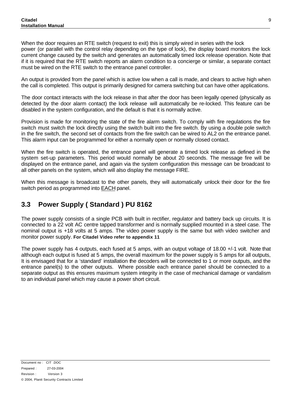When the door requires an RTE switch (request to exit) this is simply wired in series with the lock power (or parallel with the control relay depending on the type of lock), the display board monitors the lock current change caused by the switch and generates an automatically timed lock release operation. Note that if it is required that the RTE switch reports an alarm condition to a concierge or similar, a separate contact must be wired on the RTE switch to the entrance panel controller.

An output is provided from the panel which is active low when a call is made, and clears to active high when the call is completed. This output is primarily designed for camera switching but can have other applications.

The door contact interacts with the lock release in that after the door has been legally opened (physically as detected by the door alarm contact) the lock release will automatically be re-locked. This feature can be disabled in the system configuration, and the default is that it is normally active.

Provision is made for monitoring the state of the fire alarm switch. To comply with fire regulations the fire switch must switch the lock directly using the switch built into the fire switch. By using a double pole switch in the fire switch, the second set of contacts from the fire switch can be wired to AL2 on the entrance panel. This alarm input can be programmed for either a normally open or normally closed contact.

When the fire switch is operated, the entrance panel will generate a timed lock release as defined in the system set-up parameters. This period would normally be about 20 seconds. The message fire will be displayed on the entrance panel, and again via the system configuration this message can be broadcast to all other panels on the system, which will also display the message FIRE.

When this message is broadcast to the other panels, they will automatically unlock their door for the fire switch period as programmed into EACH panel.

### **3.3 Power Supply ( Standard ) PU 8162**

The power supply consists of a single PCB with built in rectifier, regulator and battery back up circuits. It is connected to a 22 volt AC centre tapped transformer and is normally supplied mounted in a steel case. The nominal output is +18 volts at 5 amps. The video power supply is the same but with video switcher and monitor power supply. **For Citadel Video refer to appendix 11**

The power supply has 4 outputs, each fused at 5 amps, with an output voltage of 18.00 +/-1 volt. Note that although each output is fused at 5 amps, the overall maximum for the power supply is 5 amps for all outputs, It is envisaged that for a 'standard' installation the decoders will be connected to 1 or more outputs, and the entrance panel(s) to the other outputs. Where possible each entrance panel should be connected to a separate output as this ensures maximum system integrity in the case of mechanical damage or vandalism to an individual panel which may cause a power short circuit.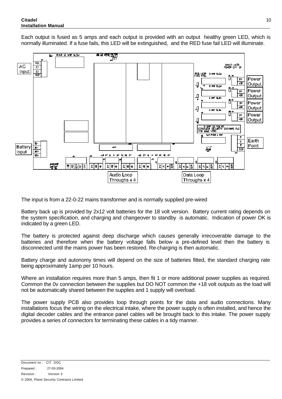Each output is fused as 5 amps and each output is provided with an output healthy green LED, which is normally illuminated. If a fuse fails, this LED will be extinguished, and the RED fuse fail LED will illuminate.



The input is from a 22-0-22 mains transformer and is normally supplied pre-wired

Battery back up is provided by 2x12 volt batteries for the 18 volt version. Battery current rating depends on the system specification, and charging and changeover to standby is automatic. Indication of power OK is indicated by a green LED.

The battery is protected against deep discharge which causes generally irrecoverable damage to the batteries and therefore when the battery voltage falls below a pre-defined level then the battery is disconnected until the mains power has been restored. Re-charging is then automatic.

Battery charge and autonomy times will depend on the size of batteries fitted, the standard charging rate being approximately 1amp per 10 hours.

Where an installation requires more than 5 amps, then fit 1 or more additional power supplies as required. Common the 0v connection between the supplies but DO NOT common the +18 volt outputs as the load will not be automatically shared between the supplies and 1 supply will overload.

The power supply PCB also provides loop through points for the data and audio connections. Many installations focus the wiring on the electrical intake, where the power supply is often installed, and hence the digital decoder cables and the entrance panel cables will be brought back to this intake. The power supply provides a series of connectors for terminating these cables in a tidy manner.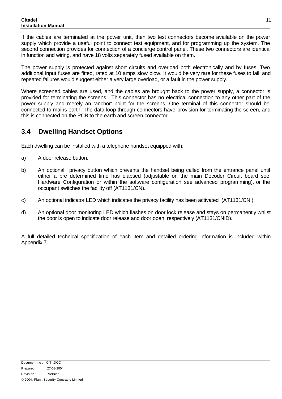If the cables are terminated at the power unit, then two test connectors become available on the power supply which provide a useful point to connect test equipment, and for programming up the system. The second connection provides for connection of a concierge control panel. These two connectors are identical in function and wiring, and have 18 volts separately fused available on them.

The power supply is protected against short circuits and overload both electronically and by fuses. Two additional input fuses are fitted, rated at 10 amps slow blow. It would be very rare for these fuses to fail, and repeated failures would suggest either a very large overload, or a fault in the power supply.

Where screened cables are used, and the cables are brought back to the power supply, a connector is provided for terminating the screens. This connector has no electrical connection to any other part of the power supply and merely an 'anchor' point for the screens. One terminal of this connector should be connected to mains earth. The data loop through connectors have provision for terminating the screen, and this is connected on the PCB to the earth and screen connector.

### **3.4 Dwelling Handset Options**

Each dwelling can be installed with a telephone handset equipped with:

- a) A door release button.
- b) An optional privacy button which prevents the handset being called from the entrance panel until either a pre determined time has elapsed (adjustable on the main Decoder Circuit board see, Hardware Configuration or within the software configuration see advanced programming), or the occupant switches the facility off (AT1131/CN).
- c) An optional indicator LED which indicates the privacy facility has been activated (AT1131/CNI).
- d) An optional door monitoring LED which flashes on door lock release and stays on permanently whilst the door is open to indicate door release and door open, respectively (AT1131/CNID).

A full detailed technical specification of each item and detailed ordering information is included within Appendix 7.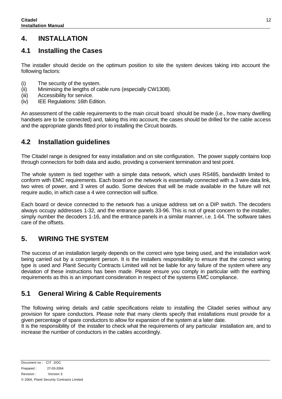### **4. INSTALLATION**

### **4.1 Installing the Cases**

The installer should decide on the optimum position to site the system devices taking into account the following factors:

- (i) The security of the system.
- (ii) Minimising the lengths of cable runs (especially CW1308).
- (iii) Accessibility for service.
- (iv) IEE Regulations: 16th Edition.

An assessment of the cable requirements to the main circuit board should be made (i.e., how many dwelling handsets are to be connected) and, taking this into account, the cases should be drilled for the cable access and the appropriate glands fitted prior to installing the Circuit boards.

### **4.2 Installation guidelines**

The Citadel range is designed for easy installation and on site configuration. The power supply contains loop through connectors for both data and audio, providing a convenient termination and test point.

The whole system is tied together with a simple data network, which uses RS485, bandwidth limited to conform with EMC requirements. Each board on the network is essentially connected with a 3 wire data link, two wires of power, and 3 wires of audio. Some devices that will be made available in the future will not require audio, in which case a 4 wire connection will suffice.

Each board or device connected to the network has a unique address set on a DIP switch. The decoders always occupy addresses 1-32, and the entrance panels 33-96. This is not of great concern to the installer, simply number the decoders 1-16, and the entrance panels in a similar manner, i.e. 1-64. The software takes care of the offsets.

### **5. WIRING THE SYSTEM**

The success of an installation largely depends on the correct wire type being used, and the installation work being carried out by a competent person. It is the installers responsibility to ensure that the correct wiring type is used and Planit Security Contracts Limited will not be liable for any failure of the system where any deviation of these instructions has been made. Please ensure you comply in particular with the earthing requirements as this is an important consideration in respect of the systems EMC compliance.

### **5.1 General Wiring & Cable Requirements**

The following wiring details and cable specifications relate to installing the Citadel series without any provision for spare conductors. Please note that many clients specify that installations must provide for a given percentage of spare conductors to allow for expansion of the system at a later date.

It is the responsibility of the installer to check what the requirements of any particular installation are, and to increase the number of conductors in the cables accordingly.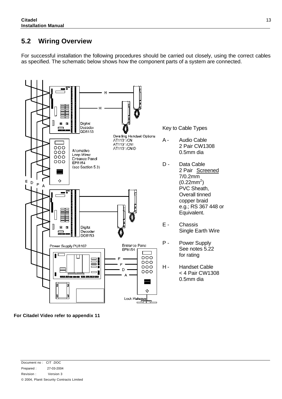### **5.2 Wiring Overview**

For successful installation the following procedures should be carried out closely, using the correct cables as specified. The schematic below shows how the component parts of a system are connected.



**For Citadel Video refer to appendix 11**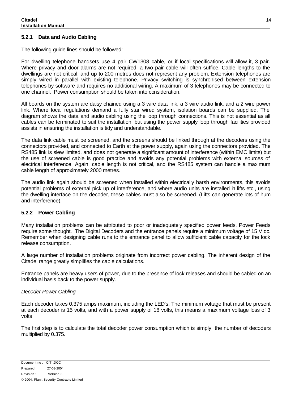#### **5.2.1 Data and Audio Cabling**

The following guide lines should be followed:

For dwelling telephone handsets use 4 pair CW1308 cable, or if local specifications will allow it, 3 pair. Where privacy and door alarms are not required, a two pair cable will often suffice. Cable lengths to the dwellings are not critical, and up to 200 metres does not represent any problem. Extension telephones are simply wired in parallel with existing telephone. Privacy switching is synchronised between extension telephones by software and requires no additional wiring. A maximum of 3 telephones may be connected to one channel. Power consumption should be taken into consideration.

All boards on the system are daisy chained using a 3 wire data link, a 3 wire audio link, and a 2 wire power link. Where local regulations demand a fully star wired system, isolation boards can be supplied. The diagram shows the data and audio cabling using the loop through connections. This is not essential as all cables can be terminated to suit the installation, but using the power supply loop through facilities provided assists in ensuring the installation is tidy and understandable.

The data link cable must be screened, and the screens should be linked through at the decoders using the connectors provided, and connected to Earth at the power supply, again using the connectors provided. The RS485 link is slew limited, and does not generate a significant amount of interference (within EMC limits) but the use of screened cable is good practice and avoids any potential problems with external sources of electrical interference. Again, cable length is not critical, and the RS485 system can handle a maximum cable length of approximately 2000 metres.

The audio link again should be screened when installed within electrically harsh environments, this avoids potential problems of external pick up of interference, and where audio units are installed in lifts etc., using the dwelling interface on the decoder, these cables must also be screened. (Lifts can generate lots of hum and interference).

#### **5.2.2 Power Cabling**

Many installation problems can be attributed to poor or inadequately specified power feeds. Power Feeds require some thought. The Digital Decoders and the entrance panels require a minimum voltage of 15 V dc. Remember when designing cable runs to the entrance panel to allow sufficient cable capacity for the lock release consumption.

A large number of installation problems originate from incorrect power cabling. The inherent design of the Citadel range greatly simplifies the cable calculations.

Entrance panels are heavy users of power, due to the presence of lock releases and should be cabled on an individual basis back to the power supply.

#### *Decoder Power Cabling*

Each decoder takes 0.375 amps maximum, including the LED's. The minimum voltage that must be present at each decoder is 15 volts, and with a power supply of 18 volts, this means a maximum voltage loss of 3 volts.

The first step is to calculate the total decoder power consumption which is simply the number of decoders multiplied by 0.375.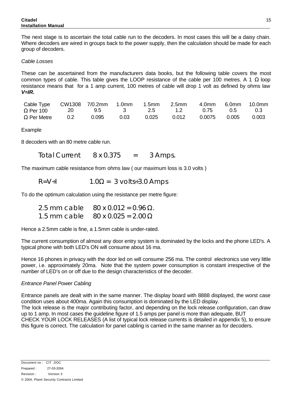The next stage is to ascertain the total cable run to the decoders. In most cases this will be a daisy chain. Where decoders are wired in groups back to the power supply, then the calculation should be made for each group of decoders.

#### *Cable Losses*

These can be ascertained from the manufacturers data books, but the following table covers the most common types of cable. This table gives the LOOP resistance of the cable per 100 metres. A 1 Ω loop resistance means that for a 1 amp current, 100 metres of cable will drop 1 volt as defined by ohms law *V=IR.*

| Cable Type         | CW1308 7/0.2mm |       | 1.0mm | 1.5 <sub>mm</sub> | 2.5 <sub>mm</sub> | 4.0mm  | 6.0mm | 10.0mm |
|--------------------|----------------|-------|-------|-------------------|-------------------|--------|-------|--------|
| $\Omega$ Per 100   | 20.            | 9.5   | - 3-  | 2.5               | 12                | 0.75   | .O.S  | 0.3    |
| $\Omega$ Per Metre | $0.2^{\circ}$  | 0.095 | 0.03  | 0.025             | 0.012             | 0.0075 | 0.005 | 0.003  |

Example

8 decoders with an 80 metre cable run.

*Total Current 8 x 0.375 = 3 Amps.*

The maximum cable resistance from ohms law ( our maximum loss is 3.0 volts )

$$
R=V, I \qquad 1.0W = 3 \text{ volts}, 3.0 \text{ Amps}
$$

To do the optimum calculation using the resistance per metre figure:

| 2.5 mm cable $80 \times 0.012 = 0.96$ W. |
|------------------------------------------|
| 1.5 mm cable $80 \times 0.025 = 2.00$ W  |

Hence a 2.5mm cable is fine, a 1.5mm cable is under-rated.

The current consumption of almost any door entry system is dominated by the locks and the phone LED's. A typical phone with both LED's ON will consume about 16 ma.

Hence 16 phones in privacy with the door led on will consume 256 ma. The control electronics use very little power, i.e. approximately 20ma. Note that the system power consumption is constant irrespective of the number of LED's on or off due to the design characteristics of the decoder.

#### *Entrance Panel Power Cabling*

Entrance panels are dealt with in the same manner. The display board with 8888 displayed, the worst case condition uses about 400ma. Again this consumption is dominated by the LED display. The lock release is the major contributing factor, and depending on the lock release configuration, can draw up to 1 amp. In most cases the guideline figure of 1.5 amps per panel is more than adequate, BUT

CHECK YOUR LOCK RELEASES (A list of typical lock release currents is detailed in appendix 5), to ensure this figure is correct. The calculation for panel cabling is carried in the same manner as for decoders.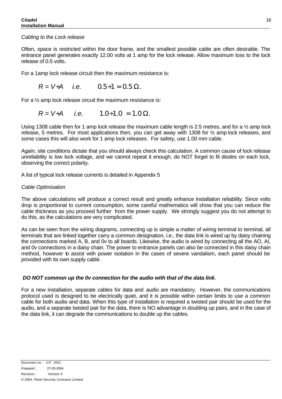#### *Cabling to the Lock release*

Often, space is restricted within the door frame, and the smallest possible cable are often desirable. The entrance panel generates exactly 12.00 volts at 1 amp for the lock release. Allow maximum loss to the lock release of 0.5 volts.

For a 1amp lock release circuit then the maximum resistance is:

$$
R = V, A
$$
 i.e.  $0.5, 1 = 0.5$  W.

For a  $\frac{1}{2}$  amp lock release circuit the maximum resistance is:

$$
R = V_A A
$$
 i.e. 1.0, 1.0 = 1.0 W.

Using 1308 cable then for 1 amp lock release the maximum cable length is 2.5 metres, and for a ½ amp lock release, 5 metres. For most applications then, you can get away with 1308 for ½ amp lock releases, and some cases this will also work for 1 amp lock releases. For safety, use 1.00 mm cable.

Again, site conditions dictate that you should always check this calculation. A common cause of lock release unreliability is low lock voltage, and we cannot repeat it enough, do NOT forget to fit diodes on each lock, observing the correct polarity.

A list of typical lock release currents is detailed in Appendix 5

#### *Cable Optimisation*

The above calculations will produce a correct result and greatly enhance installation reliability. Since volts drop is proportional to current consumption, some careful mathematics will show that you can reduce the cable thickness as you proceed further from the power supply. We strongly suggest you do not attempt to do this, as the calculations are very complicated.

As can be seen from the wiring diagrams, connecting up is simple a matter of wiring terminal to terminal, all terminals that are linked together carry a common designation, i.e., the data link is wired up by daisy chaining the connections marked A, B, and 0v to all boards. Likewise, the audio is wired by connecting all the AO, AI, and 0v connections in a daisy chain. The power to entrance panels can also be connected in this daisy chain method, however to assist with power isolation in the cases of severe vandalism, each panel should be provided with its own supply cable.

#### *DO NOT common up the 0v connection for the audio with that of the data link*.

For a new installation, separate cables for data and audio are mandatory. However, the communications protocol used is designed to be electrically quiet, and it is possible within certain limits to use a common cable for both audio and data. When this type of installation is required a twisted pair should be used for the audio, and a separate twisted pair for the data, there is NO advantage in doubling up pairs, and in the case of the data link, it can degrade the communications to double up the cables.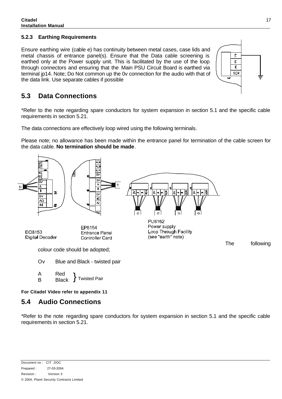#### **5.2.3 Earthing Requirements**

Ensure earthing wire (cable e) has continuity between metal cases, case lids and metal chassis of entrance panel(s). Ensure that the Data cable screening is earthed only at the Power supply unit. This is facilitated by the use of the loop through connectors and ensuring that the Main PSU Circuit Board is earthed via terminal jp14. Note; Do Not common up the 0v connection for the audio with that of the data link. Use separate cables if possible



### **5.3 Data Connections**

\*Refer to the note regarding spare conductors for system expansion in section 5.1 and the specific cable requirements in section 5.21.

The data connections are effectively loop wired using the following terminals.

Please note; no allowance has been made within the entrance panel for termination of the cable screen for the data cable. **No termination should be made**.



**For Citadel Video refer to appendix 11**

### **5.4 Audio Connections**

B Black

\*Refer to the note regarding spare conductors for system expansion in section 5.1 and the specific cable requirements in section 5.21.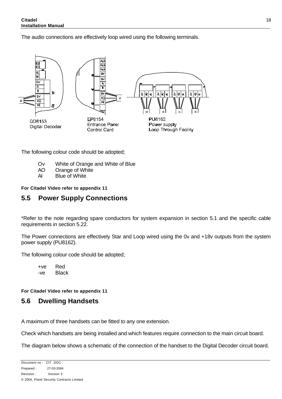The audio connections are effectively loop wired using the following terminals.



The following colour code should be adopted;

- Ov White of Orange and White of Blue
- AO Orange of White
- AI Blue of White

#### **For Citadel Video refer to appendix 11**

### **5.5 Power Supply Connections**

\*Refer to the note regarding spare conductors for system expansion in section 5.1 and the specific cable requirements in section 5.22.

The Power connections are effectively Star and Loop wired using the 0v and +18v outputs from the system power supply (PU8162).

The following colour code should be adopted;

+ve Red -ve Black

**For Citadel Video refer to appendix 11**

### **5.6 Dwelling Handsets**

A maximum of three handsets can be fitted to any one extension.

Check which handsets are being installed and which features require connection to the main circuit board.

The diagram below shows a schematic of the connection of the handset to the Digital Decoder circuit board.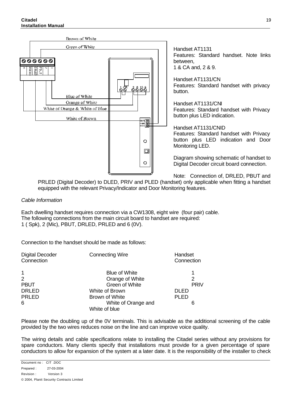

Handset AT1131 Features: Standard handset. Note links between, 1 & CA and, 2 & 9.

Handset AT1131/CN Features: Standard handset with privacy button.

Handset AT1131/CNI Features: Standard handset with Privacy button plus LED indication.

Handset AT1131/CNID Features: Standard handset with Privacy button plus LED indication and Door Monitoring LED.

Diagram showing schematic of handset to Digital Decoder circuit board connection.

Note: Connection of, DRLED, PBUT and

PRLED (Digital Decoder) to DLED, PRIV and PLED (handset) only applicable when fitting a handset equipped with the relevant Privacy/Indicator and Door Monitoring features.

#### *Cable Information*

Each dwelling handset requires connection via a CW1308, eight wire (four pair) cable. The following connections from the main circuit board to handset are required: 1 ( Spk), 2 (Mic), PBUT, DRLED, PRLED and 6 (0V).

Connection to the handset should be made as follows:

| <b>Connecting Wire</b>               | Handset<br>Connection |
|--------------------------------------|-----------------------|
| <b>Blue of White</b>                 |                       |
| Orange of White                      | 2                     |
| Green of White                       | <b>PRIV</b>           |
| White of Brown                       | <b>DLED</b>           |
| Brown of White                       | <b>PLED</b>           |
| White of Orange and<br>White of blue | 6                     |
|                                      |                       |

Please note the doubling up of the 0V terminals. This is advisable as the additional screening of the cable provided by the two wires reduces noise on the line and can improve voice quality.

The wiring details and cable specifications relate to installing the Citadel series without any provisions for spare conductors. Many clients specify that installations must provide for a given percentage of spare conductors to allow for expansion of the system at a later date. It is the responsibility of the installer to check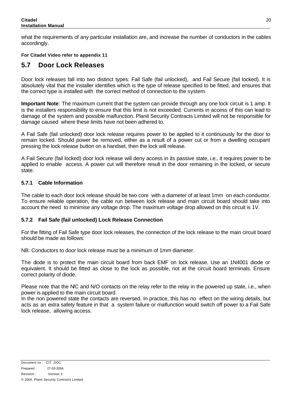what the requirements of any particular installation are, and increase the number of conductors in the cables accordingly.

#### **For Citadel Video refer to appendix 11**

### **5.7 Door Lock Releases**

Door lock releases fall into two distinct types: Fail Safe (fail unlocked), and Fail Secure (fail locked). It is absolutely vital that the installer identifies which is the type of release specified to be fitted, and ensures that the correct type is installed with the correct method of connection to the system.

**Important Note**: The maximum current that the system can provide through any one lock circuit is 1 amp. It is the installers responsibility to ensure that this limit is not exceeded. Currents in access of this can lead to damage of the system and possible malfunction. Planit Security Contracts Limited will not be responsible for damage caused where these limits have not been adhered to.

A Fail Safe (fail unlocked) door lock release requires power to be applied to it continuously for the door to remain locked. Should power be removed, either as a result of a power cut or from a dwelling occupant pressing the lock release button on a handset, then the lock will release.

A Fail Secure (fail locked) door lock release will deny access in its passive state, i.e., it requires power to be applied to enable access. A power cut will therefore result in the door remaining in the locked, or secure state.

#### **5.7.1 Cable Information**

The cable to each door lock release should be two core with a diameter of at least 1mm on each conductor. To ensure reliable operation, the cable run between lock release and main circuit board should take into account the need to minimise any voltage drop. The maximum voltage drop allowed on this circuit is 1V.

#### **5.7.2 Fail Safe (fail unlocked) Lock Release Connection**

For the fitting of Fail Safe type door lock releases, the connection of the lock release to the main circuit board should be made as follows:

NB: Conductors to door lock release must be a minimum of 1mm diameter.

The diode is to protect the main circuit board from back EMF on lock release. Use an 1N4001 diode or equivalent. It should be fitted as close to the lock as possible, not at the circuit board terminals. Ensure correct polarity of diode.

Please note that the N/C and N/O contacts on the relay refer to the relay in the powered up state, i.e., when power is applied to the main circuit board.

In the non powered state the contacts are reversed. In practice, this has no effect on the wiring details, but acts as an extra safety feature in that a system failure or malfunction would switch off power to a Fail Safe lock release, allowing access.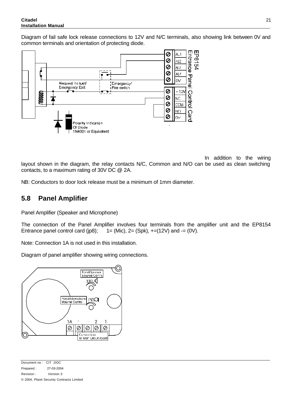#### **Citadel Installation Manual**

Diagram of fail safe lock release connections to 12V and N/C terminals, also showing link between 0V and common terminals and orientation of protecting diode.



In addition to the wiring layout shown in the diagram, the relay contacts N/C, Common and N/O can be used as clean switching contacts, to a maximum rating of 30V DC @ 2A.

NB: Conductors to door lock release must be a minimum of 1mm diameter.

### **5.8 Panel Amplifier**

Panel Amplifier (Speaker and Microphone)

The connection of the Panel Amplifier involves four terminals from the amplifier unit and the EP8154 Entrance panel control card (ip8);  $1 = (Mic)$ ,  $2 = (Spk)$ ,  $+=(12V)$  and  $-=(0V)$ .

Note: Connection 1A is not used in this installation.

Diagram of panel amplifier showing wiring connections.

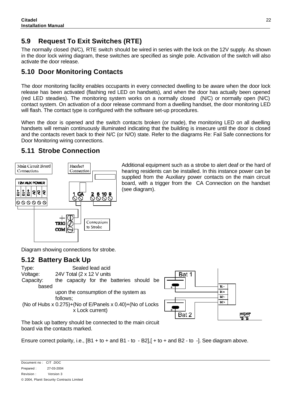### **5.9 Request To Exit Switches (RTE)**

The normally closed (N/C), RTE switch should be wired in series with the lock on the 12V supply. As shown in the door lock wiring diagram, these switches are specified as single pole. Activation of the switch will also activate the door release.

### **5.10 Door Monitoring Contacts**

The door monitoring facility enables occupants in every connected dwelling to be aware when the door lock release has been activated (flashing red LED on handsets), and when the door has actually been opened (red LED steadies). The monitoring system works on a normally closed (N/C) or normally open (N/C) contact system. On activation of a door release command from a dwelling handset, the door monitoring LED will flash. The contact type is configured with the software set-up procedures.

When the door is opened and the switch contacts broken (or made), the monitoring LED on all dwelling handsets will remain continuously illuminated indicating that the building is insecure until the door is closed and the contacts revert back to their N/C (or N/O) state. Refer to the diagrams Re: Fail Safe connections for Door Monitoring wiring connections.

### **5.11 Strobe Connection**



Additional equipment such as a strobe to alert deaf or the hard of hearing residents can be installed. In this instance power can be supplied from the Auxiliary power contacts on the main circuit board, with a trigger from the CA Connection on the handset (see diagram).

Diagram showing connections for strobe.

### **5.12 Battery Back Up**





The back up battery should be connected to the main circuit board via the contacts marked.

Ensure correct polarity, i.e., [B1 + to + and B1 - to - B2],[ + to + and B2 - to -]. See diagram above.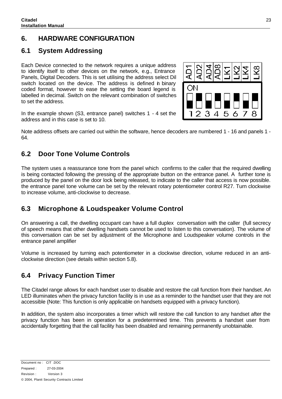### **6. HARDWARE CONFIGURATION**

### **6.1 System Addressing**

Each Device connected to the network requires a unique address to identify itself to other devices on the network, e.g., Entrance Panels, Digital Decoders. This is set utilising the address select Dil switch located on the device. The address is defined in binary coded format, however to ease the setting the board legend is labelled in decimal. Switch on the relevant combination of switches to set the address.

In the example shown (S3, entrance panel) switches 1 - 4 set the address and in this case is set to 10.

Note address offsets are carried out within the software, hence decoders are numbered 1 - 16 and panels 1 - 64.

### **6.2 Door Tone Volume Controls**

The system uses a reassurance tone from the panel which confirms to the caller that the required dwelling is being contacted following the pressing of the appropriate button on the entrance panel. A further tone is produced by the panel on the door lock being released, to indicate to the caller that access is now possible. the entrance panel tone volume can be set by the relevant rotary potentiometer control R27. Turn clockwise to increase volume, anti-clockwise to decrease.

### **6.3 Microphone & Loudspeaker Volume Control**

On answering a call, the dwelling occupant can have a full duplex conversation with the caller (full secrecy of speech means that other dwelling handsets cannot be used to listen to this conversation). The volume of this conversation can be set by adjustment of the Microphone and Loudspeaker volume controls in the entrance panel amplifier

Volume is increased by turning each potentiometer in a clockwise direction, volume reduced in an anticlockwise direction (see details within section 5.8).

### **6.4 Privacy Function Timer**

The Citadel range allows for each handset user to disable and restore the call function from their handset. An LED illuminates when the privacy function facility is in use as a reminder to the handset user that they are not accessible (Note: This function is only applicable on handsets equipped with a privacy function).

In addition, the system also incorporates a timer which will restore the call function to any handset after the privacy function has been in operation for a predetermined time. This prevents a handset user from accidentally forgetting that the call facility has been disabled and remaining permanently unobtainable.

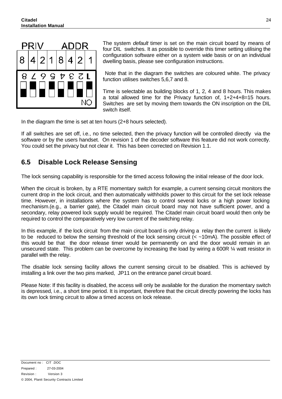

The system *default* timer is set on the main circuit board by means of four DIL switches. It as possible to override this timer setting utilising the configuration software either on a system wide basis or on an individual dwelling basis, please see configuration instructions.

 Note that in the diagram the switches are coloured white. The privacy function utilises switches 5,6,7 and 8.

Time is selectable as building blocks of 1, 2, 4 and 8 hours. This makes a total allowed time for the Privacy function of, 1+2+4+8=15 hours. Switches are set by moving them towards the ON inscription on the DIL switch itself.

In the diagram the time is set at ten hours (2+8 hours selected).

If all switches are set off, i.e., no time selected, then the privacy function will be controlled directly via the software or by the users handset. On revision 1 of the decoder software this feature did not work correctly. You could set the privacy but not clear it. This has been corrected on Revision 1.1.

### **6.5 Disable Lock Release Sensing**

The lock sensing capability is responsible for the timed access following the initial release of the door lock.

When the circuit is broken, by a RTE momentary switch for example, a current sensing circuit monitors the current drop in the lock circuit, and then automatically withholds power to this circuit for the set lock release time. However, in installations where the system has to control several locks or a high power locking mechanism.(e.g., a barrier gate), the Citadel main circuit board may not have sufficient power, and a secondary, relay powered lock supply would be required. The Citadel main circuit board would then only be required to control the comparatively very low current of the switching relay.

In this example, if the lock circuit from the main circuit board is only driving a relay then the current is likely to be reduced to below the sensing threshold of the lock sensing circuit (< ~10mA). The possible effect of this would be that the door release timer would be permanently on and the door would remain in an unsecured state. This problem can be overcome by increasing the load by wiring a 600R % watt resistor in parallel with the relay.

The disable lock sensing facility allows the current sensing circuit to be disabled. This is achieved by installing a link over the two pins marked, JP11 on the entrance panel circuit board.

Please Note: If this facility is disabled, the access will only be available for the duration the momentary switch is depressed, i.e., a short time period. It is important, therefore that the circuit directly powering the locks has its own lock timing circuit to allow a timed access on lock release.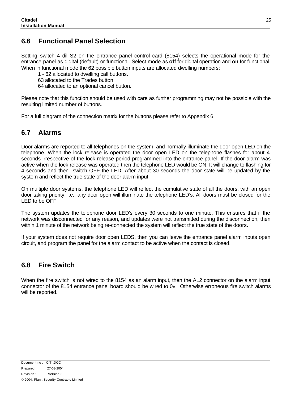### **6.6 Functional Panel Selection**

Setting switch 4 dil S2 on the entrance panel control card (8154) selects the operational mode for the entrance panel as digital (default) or functional. Select mode as **off** for digital operation and **on** for functional. When in functional mode the 62 possible button inputs are allocated dwelling numbers;

1 - 62 allocated to dwelling call buttons.

63 allocated to the Trades button.

64 allocated to an optional cancel button.

Please note that this function should be used with care as further programming may not be possible with the resulting limited number of buttons.

For a full diagram of the connection matrix for the buttons please refer to Appendix 6.

### **6.7 Alarms**

Door alarms are reported to all telephones on the system, and normally illuminate the door open LED on the telephone. When the lock release is operated the door open LED on the telephone flashes for about 4 seconds irrespective of the lock release period programmed into the entrance panel. If the door alarm was active when the lock release was operated then the telephone LED would be ON. It will change to flashing for 4 seconds and then switch OFF the LED. After about 30 seconds the door state will be updated by the system and reflect the true state of the door alarm input.

On multiple door systems, the telephone LED will reflect the cumulative state of all the doors, with an open door taking priority. i.e., any door open will illuminate the telephone LED's. All doors must be closed for the LED to be OFF.

The system updates the telephone door LED's every 30 seconds to one minute. This ensures that if the network was disconnected for any reason, and updates were not transmitted during the disconnection, then within 1 minute of the network being re-connected the system will reflect the true state of the doors.

If your system does not require door open LEDS, then you can leave the entrance panel alarm inputs open circuit, and program the panel for the alarm contact to be active when the contact is closed.

### **6.8 Fire Switch**

When the fire switch is not wired to the 8154 as an alarm input, then the AL2 connector on the alarm input connector of the 8154 entrance panel board should be wired to 0v. Otherwise erroneous fire switch alarms will be reported.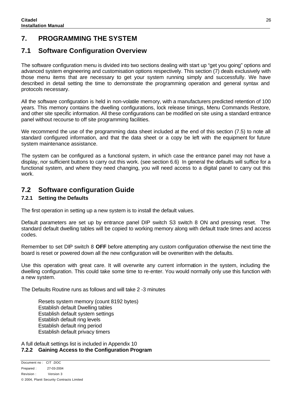### **7. PROGRAMMING THE SYSTEM**

### **7.1 Software Configuration Overview**

The software configuration menu is divided into two sections dealing with start up "get you going" options and advanced system engineering and customisation options respectively. This section (7) deals exclusively with those menu items that are necessary to get your system running simply and successfully. We have described in detail setting the time to demonstrate the programming operation and general syntax and protocols necessary.

All the software configuration is held in non-volatile memory, with a manufacturers predicted retention of 100 years. This memory contains the dwelling configurations, lock release timings, Menu Commands Restore, and other site specific information. All these configurations can be modified on site using a standard entrance panel without recourse to off site programming facilities.

We recommend the use of the programming data sheet included at the end of this section (7.5) to note all standard configured information, and that the data sheet or a copy be left with the equipment for future system maintenance assistance.

The system can be configured as a functional system, in which case the entrance panel may not have a display, nor sufficient buttons to carry out this work. (see section 6.6) In general the defaults will suffice for a functional system, and where they need changing, you will need access to a digital panel to carry out this work.

### **7.2 Software configuration Guide**

#### **7.2.1 Setting the Defaults**

The first operation in setting up a new system is to install the default values.

Default parameters are set up by entrance panel DIP switch S3 switch 8 ON and pressing reset. The standard default dwelling tables will be copied to working memory along with default trade times and access codes.

Remember to set DIP switch 8 **OFF** before attempting any custom configuration otherwise the next time the board is reset or powered down all the new configuration will be overwritten with the defaults.

Use this operation with great care. It will overwrite any current information in the system, including the dwelling configuration. This could take some time to re-enter. You would normally only use this function with a new system.

The Defaults Routine runs as follows and will take 2 -3 minutes

Resets system memory (count 8192 bytes) Establish default Dwelling tables Establish default system settings Establish default ring levels Establish default ring period Establish default privacy timers

A full default settings list is included in Appendix 10 **7.2.2 Gaining Access to the Configuration Program**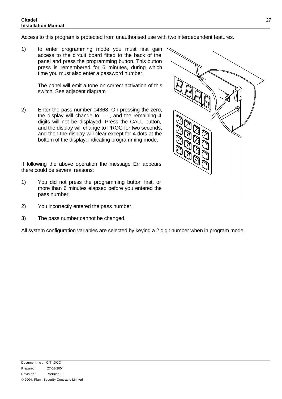#### **Citadel Installation Manual**

Access to this program is protected from unauthorised use with two interdependent features.

1) to enter programming mode you must first gain access to the circuit board fitted to the back of the panel and press the programming button. This button press is remembered for 6 minutes, during which time you must also enter a password number.

> The panel will emit a tone on correct activation of this switch. See adjacent diagram

2) Enter the pass number 04368. On pressing the zero, the display will change to ----, and the remaining 4 digits will not be displayed. Press the CALL button, and the display will change to PROG for two seconds, and then the display will clear except for 4 dots at the bottom of the display, indicating programming mode.

If following the above operation the message Err appears there could be several reasons:

- 1) You did not press the programming button first, or more than 6 minutes elapsed before you entered the pass number.
- 2) You incorrectly entered the pass number.
- 3) The pass number cannot be changed.

All system configuration variables are selected by keying a 2 digit number when in program mode.

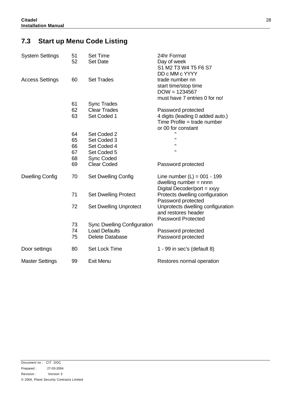### **7.3 Start up Menu Code Listing**

| <b>System Settings</b> | 51<br>52                   | <b>Set Time</b><br><b>Set Date</b>                                            | 24hr Format<br>Day of week<br>S1 M2 T3 W4 T5 F6 S7<br>DD c MM c YYYY                                        |
|------------------------|----------------------------|-------------------------------------------------------------------------------|-------------------------------------------------------------------------------------------------------------|
| <b>Access Settings</b> | 60                         | <b>Set Trades</b>                                                             | trade number nn<br>start time/stop time<br>$DOW = 1234567$<br>must have 7 entries 0 for no!                 |
|                        | 61<br>62<br>63             | <b>Sync Trades</b><br><b>Clear Trades</b><br>Set Coded 1                      | Password protected<br>4 digits (leading 0 added auto.)<br>Time Profile = trade number<br>or 00 for constant |
|                        | 64<br>65<br>66<br>67<br>68 | Set Coded 2<br>Set Coded 3<br>Set Coded 4<br>Set Coded 5<br><b>Sync Coded</b> | $\mathbf{H}$<br>$\mathbf{u}$<br>$\mathbf{H}$                                                                |
|                        | 69                         | <b>Clear Coded</b>                                                            | Password protected                                                                                          |
| <b>Dwelling Config</b> | 70                         | <b>Set Dwelling Config</b>                                                    | Line number $(L) = 001 - 199$<br>dwelling number $=$ nnnn<br>Digital Decoder/port = xxyy                    |
|                        | 71                         | <b>Set Dwelling Protect</b>                                                   | Protects dwelling configuration<br>Password protected                                                       |
|                        | 72                         | <b>Set Dwelling Unprotect</b>                                                 | Unprotects dwelling configuration<br>and restores header<br><b>Password Protected</b>                       |
|                        | 73<br>74<br>75             | <b>Sync Dwelling Configuration</b><br><b>Load Defaults</b><br>Delete Database | Password protected<br>Password protected                                                                    |
| Door settings          | 80                         | Set Lock Time                                                                 | 1 - 99 in sec's (default 8)                                                                                 |
| <b>Master Settings</b> | 99                         | <b>Exit Menu</b>                                                              | Restores normal operation                                                                                   |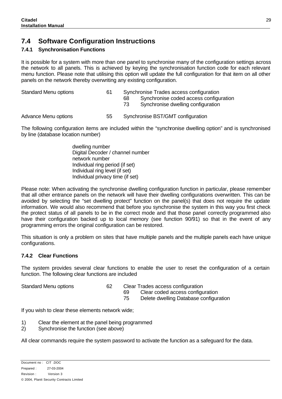### **7.4 Software Configuration Instructions**

#### **7.4.1 Synchronisation Functions**

It is possible for a system with more than one panel to synchronise many of the configuration settings across the network to all panels. This is achieved by keying the synchronisation function code for each relevant menu function. Please note that utilising this option will update the full configuration for that item on all other panels on the network thereby overwriting any existing configuration.

Standard Menu options 61 Synchronise Trades access configuration 68 Synchronise coded access configuration 73 Synchronise dwelling configuration

Advance Menu options 55 Synchronise BST/GMT configuration

The following configuration items are included within the "synchronise dwelling option" and is synchronised by line (database location number)

> dwelling number Digital Decoder / channel number network number Individual ring period (if set) Individual ring level (if set) Individual privacy time (if set)

Please note: When activating the synchronise dwelling configuration function in particular, please remember that all other entrance panels on the network will have their dwelling configurations overwritten. This can be avoided by selecting the "set dwelling protect" function on the panel(s) that does not require the update information. We would also recommend that before you synchronise the system in this way you first check the protect status of all panels to be in the correct mode and that those panel correctly programmed also have their configuration backed up to local memory (see function 90/91) so that in the event of any programming errors the original configuration can be restored.

This situation is only a problem on sites that have multiple panels and the multiple panels each have unique configurations.

#### **7.4.2 Clear Functions**

The system provides several clear functions to enable the user to reset the configuration of a certain function. The following clear functions are included

- Standard Menu options 62 Clear Trades access configuration
	- 69 Clear coded access configuration
	- 75 Delete dwelling Database configuration

If you wish to clear these elements network wide;

- 1) Clear the element at the panel being programmed
- 2) Synchronise the function (see above)

All clear commands require the system password to activate the function as a safeguard for the data.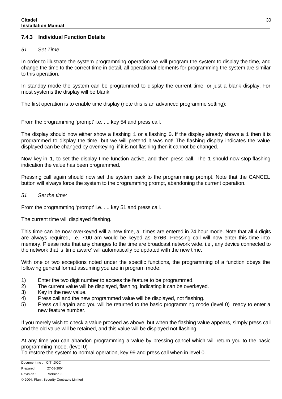#### **7.4.3 Individual Function Details**

#### *51 Set Time*

In order to illustrate the system programming operation we will program the system to display the time, and change the time to the correct time in detail, all operational elements for programming the system are similar to this operation.

In standby mode the system can be programmed to display the current time, or just a blank display. For most systems the display will be blank.

The first operation is to enable time display (note this is an advanced programme setting):

From the programming 'prompt' i.e. .... key 54 and press call.

The display should now either show a flashing 1 or a flashing 0. If the display already shows a 1 then it is programmed to display the time, but we will pretend it was not! The flashing display indicates the value displayed can be changed by overkeying, if it is not flashing then it cannot be changed.

Now key in 1, to set the display time function active, and then press call. The 1 should now stop flashing indication the value has been programmed.

Pressing call again should now set the system back to the programming prompt. Note that the CANCEL button will always force the system to the programming prompt, abandoning the current operation.

#### *51 Set the time:*

From the programming 'prompt' i.e. .... key 51 and press call.

The current time will displayed flashing.

This time can be now overkeyed will a new time, all times are entered in 24 hour mode. Note that all 4 digits are always required, i.e. 7:00 am would be keyed as 0700. Pressing call will now enter this time into memory. Please note that any changes to the time are broadcast network wide. i.e., any device connected to the network that is 'time aware' will automatically be updated with the new time.

With one or two exceptions noted under the specific functions, the programming of a function obeys the following general format assuming you are in program mode:

- 1) Enter the two digit number to access the feature to be programmed.
- 2) The current value will be displayed, flashing, indicating it can be overkeyed.
- 3) Key in the new value.
- 4) Press call and the new programmed value will be displayed, not flashing.
- 5) Press call again and you will be returned to the basic programming mode (level 0) ready to enter a new feature number.

If you merely wish to check a value proceed as above, but when the flashing value appears, simply press call and the old value will be retained, and this value will be displayed not flashing.

At any time you can abandon programming a value by pressing cancel which will return you to the basic programming mode. (level 0)

To restore the system to normal operation, key 99 and press call when in level 0.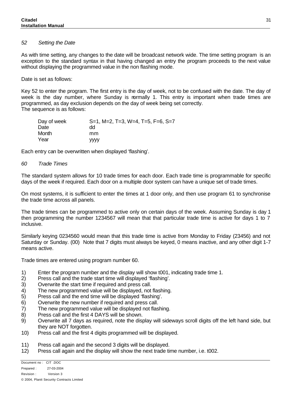#### *52 Setting the Date*

As with time setting, any changes to the date will be broadcast network wide. The time setting program is an exception to the standard syntax in that having changed an entry the program proceeds to the next value without displaying the programmed value in the non flashing mode.

Date is set as follows:

Key 52 to enter the program. The first entry is the day of week, not to be confused with the date. The day of week is the day number, where Sunday is rormally 1. This entry is important when trade times are programmed, as day exclusion depends on the day of week being set correctly. The sequence is as follows:

| Day of week | $S=1$ , M=2, T=3, W=4, T=5, F=6, S=7 |
|-------------|--------------------------------------|
| Date        | dd                                   |
| Month       | mm                                   |
| Year        | <b>VVVV</b>                          |

Each entry can be overwritten when displayed 'flashing'.

#### *60 Trade Times*

The standard system allows for 10 trade times for each door. Each trade time is programmable for specific days of the week if required. Each door on a multiple door system can have a unique set of trade times.

On most systems, it is sufficient to enter the times at 1 door only, and then use program 61 to synchronise the trade time across all panels.

The trade times can be programmed to active only on certain days of the week. Assuming Sunday is day 1 then programming the number 1234567 will mean that that particular trade time is active for days 1 to 7 inclusive.

Similarly keying 0234560 would mean that this trade time is active from Monday to Friday (23456) and not Saturday or Sunday. (00) Note that 7 digits must always be keyed, 0 means inactive, and any other digit 1-7 means active.

Trade times are entered using program number 60.

- 1) Enter the program number and the display will show t001, indicating trade time 1.
- 2) Press call and the trade start time will displayed 'flashing'.
- 3) Overwrite the start time if required and press call.
- 4) The new programmed value will be displayed, not flashing.
- 5) Press call and the end time will be displayed 'flashing'.
- 6) Overwrite the new number if required and press call.
- 7) The new programmed value will be displayed not flashing.
- 8) Press call and the first 4 DAYS will be shown.
- 9) Overwrite all 7 days as required, note the display will sideways scroll digits off the left hand side, but they are NOT forgotten.
- 10) Press call and the first 4 digits programmed will be displayed.
- 11) Press call again and the second 3 digits will be displayed.
- 12) Press call again and the display will show the next trade time number, i.e. t002.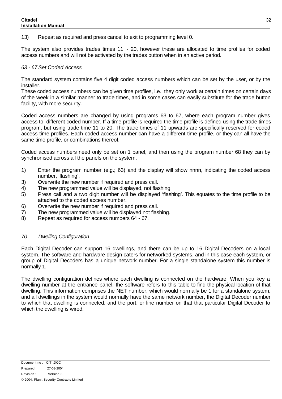13) Repeat as required and press cancel to exit to programming level 0.

The system also provides trades times 11 - 20, however these are allocated to time profiles for coded access numbers and will not be activated by the trades button when in an active period.

#### *63 - 67 Set Coded Access*

The standard system contains five 4 digit coded access numbers which can be set by the user, or by the installer.

These coded access numbers can be given time profiles, i.e., they only work at certain times on certain days of the week in a similar manner to trade times, and in some cases can easily substitute for the trade button facility, with more security.

Coded access numbers are changed by using programs 63 to 67, where each program number gives access to different coded number. If a time profile is required the time profile is defined using the trade times program, but using trade time 11 to 20. The trade times of 11 upwards are specifically reserved for coded access time profiles. Each coded access number can have a different time profile, or they can all have the same time profile, or combinations thereof.

Coded access numbers need only be set on 1 panel, and then using the program number 68 they can by synchronised across all the panels on the system.

- 1) Enter the program number (e.g.; 63) and the display will show nnnn, indicating the coded access number, 'flashing'.
- 3) Overwrite the new number if required and press call.
- 4) The new programmed value will be displayed, not flashing.
- 5) Press call and a two digit number will be displayed 'flashing'. This equates to the time profile to be attached to the coded access number.
- 6) Overwrite the new number if required and press call.
- 7) The new programmed value will be displayed not flashing.
- 8) Repeat as required for access numbers 64 67.

#### *70 Dwelling Configuration*

Each Digital Decoder can support 16 dwellings, and there can be up to 16 Digital Decoders on a local system. The software and hardware design caters for networked systems, and in this case each system, or group of Digital Decoders has a unique network number. For a single standalone system this number is normally 1.

The dwelling configuration defines where each dwelling is connected on the hardware. When you key a dwelling number at the entrance panel, the software refers to this table to find the physical location of that dwelling. This information comprises the NET number, which would normally be 1 for a standalone system, and all dwellings in the system would normally have the same network number, the Digital Decoder number to which that dwelling is connected, and the port, or line number on that that particular Digital Decoder to which the dwelling is wired.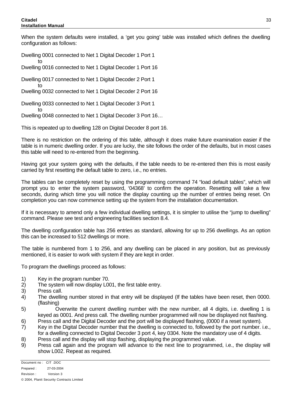to

When the system defaults were installed, a 'get you going' table was installed which defines the dwelling configuration as follows:

Dwelling 0001 connected to Net 1 Digital Decoder 1 Port 1 to Dwelling 0016 connected to Net 1 Digital Decoder 1 Port 16

Dwelling 0017 connected to Net 1 Digital Decoder 2 Port 1 to

Dwelling 0032 connected to Net 1 Digital Decoder 2 Port 16

Dwelling 0033 connected to Net 1 Digital Decoder 3 Port 1

Dwelling 0048 connected to Net 1 Digital Decoder 3 Port 16…

This is repeated up to dwelling 128 on Digital Decoder 8 port 16.

There is no restriction on the ordering of this table, although it does make future examination easier if the table is in numeric dwelling order. If you are lucky, the site follows the order of the defaults, but in most cases this table will need to re-entered from the beginning.

Having got your system going with the defaults, if the table needs to be re-entered then this is most easily carried by first resetting the default table to zero, i.e., no entries.

The tables can be completely reset by using the programming command 74 "load default tables", which will prompt you to enter the system password, '04368' to confirm the operation. Resetting will take a few seconds, during which time you will notice the display counting up the number of entries being reset. On completion you can now commence setting up the system from the installation documentation.

If it is necessary to amend only a few individual dwelling settings, it is simpler to utilise the "jump to dwelling" command. Please see test and engineering facilities section 8.4.

The dwelling configuration table has 256 entries as standard, allowing for up to 256 dwellings. As an option this can be increased to 512 dwellings or more.

The table is numbered from 1 to 256, and any dwelling can be placed in any position, but as previously mentioned, it is easier to work with system if they are kept in order.

To program the dwellings proceed as follows:

- 1) Key in the program number 70.
- 2) The system will now display L001, the first table entry.
- 3) Press call.
- 4) The dwelling number stored in that entry will be displayed (If the tables have been reset, then 0000. (flashing)
- 5) Overwrite the current dwelling number with the new number, all 4 digits, i.e. dwelling 1 is keyed as 0001. And press call. The dwelling number programmed will now be displayed not flashing.
- 6) Press call and the Digital Decoder and the port will be displayed flashing, (0000 if a reset system).
- 7) Key in the Digital Decoder number that the dwelling is connected to, followed by the port number. i.e., for a dwelling connected to Digital Decoder 3 port 4, key 0304. Note the mandatory use of 4 digits.
- 8) Press call and the display will stop flashing, displaying the programmed value.
- 9) Press call again and the program will advance to the next line to programmed, i.e., the display will show L002. Repeat as required.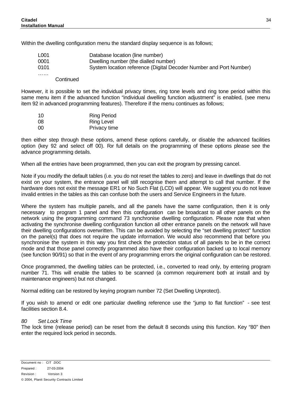Within the dwelling configuration menu the standard display sequence is as follows;

| L001 | Database location (line number)                                    |
|------|--------------------------------------------------------------------|
| 0001 | Dwelling number (the dialled number)                               |
| 0101 | System location reference (Digital Decoder Number and Port Number) |
| .    |                                                                    |

**Continued** 

However, it is possible to set the individual privacy times, ring tone levels and ring tone period within this same menu item if the advanced function "individual dwelling function adjustment" is enabled, (see menu item 92 in advanced programming features). Therefore if the menu continues as follows;

| 10 | <b>Ring Period</b> |
|----|--------------------|
| 08 | <b>Ring Level</b>  |
| 00 | Privacy time       |

then either step through these options, amend these options carefully, or disable the advanced facilities option (key 92 and select off 00). For full details on the programming of these options please see the advance programming details.

When all the entries have been programmed, then you can exit the program by pressing cancel.

Note if you modify the default tables (i.e. you do not reset the tables to zero) and leave in dwellings that do not exist on your system, the entrance panel will still recognise them and attempt to call that number. If the hardware does not exist the message ER1 or No Such Flat (LCD) will appear. We suggest you do not leave invalid entries in the tables as this can confuse both the users and Service Engineers in the future.

Where the system has multiple panels, and all the panels have the same configuration, then it is only necessary to program 1 panel and then this configuration can be broadcast to all other panels on the network using the programming command 73 synchronise dwelling configuration. Please note that when activating the synchronise dwelling configuration function all other entrance panels on the network will have their dwelling configurations overwritten. This can be avoided by selecting the "set dwelling protect" function on the panel(s) that does not require the update information. We would also recommend that before you synchronise the system in this way you first check the protection status of all panels to be in the correct mode and that those panel correctly programmed also have their configuration backed up to local memory (see function 90/91) so that in the event of any programming errors the original configuration can be restored.

Once programmed, the dwelling tables can be protected, i.e., converted to read only, by entering program number 71. This will enable the tables to be scanned (a common requirement both at install and by maintenance engineers) but not changed.

Normal editing can be restored by keying program number 72 (Set Dwelling Unprotect).

If you wish to amend or edit one particular dwelling reference use the "jump to flat function" - see test facilities section 8.4.

#### *80 Set Lock Time*

The lock time (release period) can be reset from the default 8 seconds using this function. Key "80" then enter the required lock period in seconds.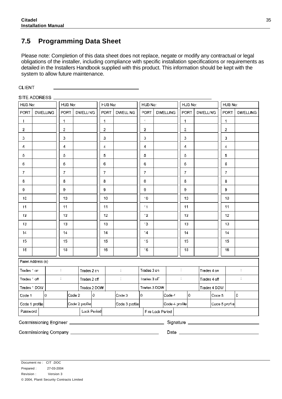### **7.5 Programming Data Sheet**

Please note: Completion of this data sheet does not replace, negate or modify any contractual or legal obligations of the installer, including compliance with specific installation specifications or requirements as detailed in the Installers Handbook supplied with this product. This information should be kept with the system to allow future maintenance.

**CLIENT** 

| SITE ADDRESS                                     |  |                 |                                        |        |                                                            |     |                  |                                     |                |                  |                 |                               |  |                 |        |                |                       |
|--------------------------------------------------|--|-----------------|----------------------------------------|--------|------------------------------------------------------------|-----|------------------|-------------------------------------|----------------|------------------|-----------------|-------------------------------|--|-----------------|--------|----------------|-----------------------|
| HUB No:                                          |  |                 | HUB No:                                |        |                                                            |     | HUB No:          |                                     | HUB No:        |                  |                 | HUB No:                       |  |                 |        | HUB No:        |                       |
| PORT                                             |  | <b>DWELLING</b> | <b>PORT</b>                            |        | <b>DWELLING</b>                                            |     | PORT             | <b>DWELLING</b>                     | PORT           |                  | <b>DWELLING</b> | PORT                          |  | <b>DWELLING</b> |        | <b>PORT</b>    | <b>DWELLING</b>       |
| 1                                                |  |                 | 1                                      |        |                                                            |     | 1                |                                     | $\lambda$      |                  |                 | 1                             |  |                 |        | 1              |                       |
| $\bar{z}$                                        |  |                 | $\bar{z}$                              |        |                                                            |     | $\overline{2}$   |                                     | $\overline{2}$ |                  |                 | 2                             |  |                 |        | 2              |                       |
| $\mathfrak I$                                    |  |                 | 3                                      |        |                                                            |     | 3                |                                     | 3              |                  |                 | 3                             |  |                 |        | з              |                       |
| 4                                                |  |                 | 1                                      |        |                                                            |     | 4                |                                     | 1              |                  |                 | 1                             |  |                 |        | 4              |                       |
| $\mathbb S$                                      |  |                 | 5                                      |        |                                                            |     | 5                |                                     | 5              |                  |                 | 5                             |  |                 |        | 5              |                       |
| 6                                                |  |                 | 6                                      |        |                                                            |     | Ģ.               |                                     | 6              |                  |                 | 6                             |  |                 |        | 0              |                       |
| $\overline{t}$                                   |  |                 | $\overline{t}$                         |        |                                                            |     | 7                |                                     | 7              |                  |                 | 7                             |  |                 |        | $\overline{t}$ |                       |
| $\mathbf s$                                      |  |                 | 8                                      |        |                                                            |     | 8                |                                     | 8              |                  |                 | 8                             |  |                 |        | 8              |                       |
| 9                                                |  |                 | 9                                      |        |                                                            |     | 9                |                                     | 9              |                  |                 | 9                             |  |                 |        | 9              |                       |
| 10                                               |  |                 | 10                                     |        |                                                            |     | 10               |                                     | 10             |                  |                 | 10                            |  |                 |        | 10             |                       |
| 11                                               |  |                 | 11                                     |        |                                                            |     | 11               |                                     | $^{\prime}$ 1  |                  |                 | 11                            |  |                 |        | 11             |                       |
| 12                                               |  |                 | 12                                     |        |                                                            |     | 12 <sub>12</sub> |                                     | 12.            |                  |                 | 12                            |  |                 |        | 12             |                       |
| 13                                               |  |                 | 13                                     |        |                                                            |     | 13               |                                     | $^{\circ}3$    |                  |                 | 13                            |  |                 |        | 13             |                       |
| 12                                               |  |                 | 14                                     |        |                                                            |     | 14               |                                     | $\cdot$ 4      |                  |                 | 14                            |  |                 |        | 14             |                       |
| 15                                               |  |                 | 15                                     |        |                                                            |     | 15               |                                     | 15             |                  |                 | 15                            |  |                 |        | 15             |                       |
| 16                                               |  |                 | $\overline{16}$                        |        |                                                            |     | 16               |                                     | $\overline{6}$ |                  |                 | 16                            |  |                 |        | 16             |                       |
| Panel Address (s)                                |  |                 |                                        |        |                                                            |     |                  |                                     |                |                  |                 |                               |  |                 |        |                |                       |
| Trades 1 on                                      |  |                 | $\mathcal{L}_{\mathcal{A}}$            |        | Trades 2 ch                                                |     |                  | $\mathbb{C}^2$                      | Trades 3 on    |                  |                 | ÷                             |  | Trades 4 on     |        |                | $\mathbb{C}^{\times}$ |
| Trades 1 off                                     |  |                 | $\mathcal{L}^{\mathcal{L}}$            |        | Trades 2 cff                                               |     |                  | $\mathbb{R}^3$                      | Trailes 3 off  |                  |                 | $\pm$                         |  | Trades 4 off    |        |                | ÷                     |
| Trades 1 DOW                                     |  |                 |                                        |        | Trades 2 DOW                                               |     |                  |                                     | Trades 3 DOW   |                  |                 |                               |  | Trades 4 DOW    |        |                |                       |
| Code 1                                           |  | lo.             |                                        | Code 2 |                                                            | lo. |                  | $\lfloor \texttt{Code}\, 3 \rfloor$ | lo.            |                  | Cade 4          | I٥                            |  |                 | Code 5 |                | le.                   |
| $\vert$ Code 2 profile $\vert$<br>Code 1 profile |  |                 | $\left  \text{Code 3 profile} \right $ |        | $\left \text{Code} \angle \right $ profile $\left \right $ |     |                  |                                     |                |                  | Code 5 profile  |                               |  |                 |        |                |                       |
| Password                                         |  |                 |                                        |        | Lock Period                                                |     |                  |                                     |                | Fire Lock Period |                 |                               |  |                 |        |                |                       |
|                                                  |  |                 |                                        |        |                                                            |     |                  |                                     |                |                  |                 | Signature ___________________ |  |                 |        |                |                       |
|                                                  |  |                 |                                        |        |                                                            |     |                  |                                     |                |                  |                 | Date ____________________     |  |                 |        |                |                       |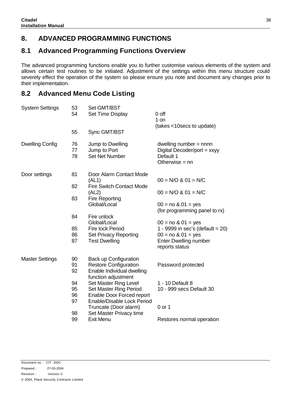### **8. ADVANCED PROGRAMMING FUNCTIONS**

### **8.1 Advanced Programming Functions Overview**

The advanced programming functions enable you to further customise various elements of the system and allows certain test routines to be initiated. Adjustment of the settings within this menu structure could severely effect the operation of the system so please ensure you note and document any changes prior to their implementation.

### **8.2 Advanced Menu Code Listing**

| <b>System Settings</b> | 53<br>54       | Set GMT/BST<br>Set Time Display                                                            | 0 off                                                                                      |
|------------------------|----------------|--------------------------------------------------------------------------------------------|--------------------------------------------------------------------------------------------|
|                        | 55             | Sync GMT/BST                                                                               | 1 on<br>(takes <10 secs to update)                                                         |
| <b>Dwelling Config</b> | 76<br>77<br>78 | Jump to Dwelling<br>Jump to Port<br><b>Set Net Number</b>                                  | dwelling number $=$ nnnn<br>Digital Decoder/port = $xxyy$<br>Default 1<br>Otherwise $=$ nn |
| Door settings          | 81             | Door Alarm Contact Mode<br>(AL1)                                                           | $00 = N/O$ & $01 = N/C$                                                                    |
|                        | 82             | <b>Fire Switch Contact Mode</b><br>(AL2)                                                   | $00 = N/O$ & $01 = N/C$                                                                    |
|                        | 83             | <b>Fire Reporting</b><br>Global/Local                                                      | $00 = no 8 01 = yes$<br>(for programming panel to rx)                                      |
|                        | 84             | Fire unlock<br>Global/Local                                                                | $00 = no 801 = yes$                                                                        |
|                        | 85             | <b>Fire lock Period</b>                                                                    | 1 - 9999 in sec's (default = $20$ )                                                        |
|                        | 86             | <b>Set Privacy Reporting</b>                                                               | $00 = no 8 01 = yes$                                                                       |
|                        | 87             | <b>Test Dwelling</b>                                                                       | <b>Enter Dwelling number</b><br>reports status                                             |
| <b>Master Settings</b> | 90<br>91<br>92 | <b>Back up Configuration</b><br><b>Restore Configuration</b><br>Enable Individual dwelling | Password protected                                                                         |
|                        | 94             | function adjustment<br>Set Master Ring Level                                               | 1 - 10 Default 8                                                                           |
|                        | 95<br>96<br>97 | Set Master Ring Period<br>Enable Door Forced report<br>Enable/Disable Lock Period          | 10 - 999 secs Default 30                                                                   |
|                        | 98             | Truncate (Door alarm)<br>Set Master Privacy time                                           | $0$ or 1                                                                                   |
|                        | 99             | <b>Exit Menu</b>                                                                           | Restores normal operation                                                                  |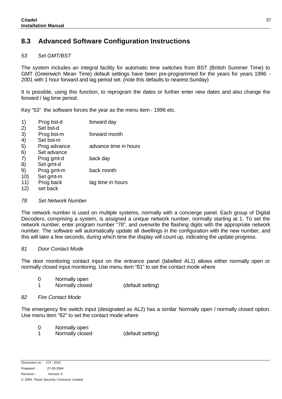### **8.3 Advanced Software Configuration Instructions**

#### *53 Set GMT/BST*

The system includes an integral facility for automatic time switches from BST (British Summer Time) to GMT (Greenwich Mean Time) default settings have been pre-programmed for the years for years 1996 - 2001 with 1 hour forward and lag period set. (note this defaults to nearest Sunday)

It is possible, using this function, to reprogram the dates or further enter new dates and also change the forward / lag time period.

Key "53" the software forces the year as the menu item - 1996 etc.

- 1) Prog bst-d forward day 2) Set bst-d
- 3) Prog bst-m forward month
- 4) Set bst-m 5) Prog advance advance time in hours
- 6) Set advance 7) Prog gmt-d back day
- 8) Set gmt-d
- 9) Prog gmt-m back month
- 10) Set gmt-m 11) Prog back lag time in hours
- 12) set back

#### *78 Set Network Number*

The network number is used on multiple systems, normally with a concierge panel. Each group of Digital Decoders, comprising a system, is assigned a unique network number, normally starting at 1. To set the network number, enter program number "78", and overwrite the flashing digits with the appropriate network number. The software will automatically update all dwellings in the configuration with the new number, and this will take a few seconds, during which time the display will count up, indicating the update progress.

#### *81 Door Contact Mode*

The door monitoring contact input on the entrance panel (labelled AL1) allows either normally open or normally closed input monitoring. Use menu item "81" to set the contact mode where

- 0 Normally open
- 1 Normally closed (default setting)

#### *82 Fire Contact Mode*

The emergency fire switch input (designated as AL2) has a similar Normally open / normally closed option. Use menu item "82" to set the contact mode where

- 0 Normally open
- 1 Normally closed (default setting)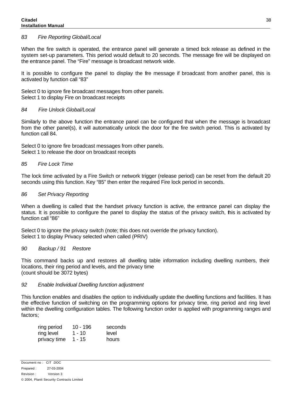#### *83 Fire Reporting Global/Local*

When the fire switch is operated, the entrance panel will generate a timed bck release as defined in the system set-up parameters. This period would default to 20 seconds. The message fire will be displayed on the entrance panel. The "Fire" message is broadcast network wide.

It is possible to configure the panel to display the fire message if broadcast from another panel, this is activated by function call "83"

Select 0 to ignore fire broadcast messages from other panels. Select 1 to display Fire on broadcast receipts

#### *84 Fire Unlock Global/Local*

Similarly to the above function the entrance panel can be configured that when the message is broadcast from the other panel(s), it will automatically unlock the door for the fire switch period. This is activated by function call 84.

Select 0 to ignore fire broadcast messages from other panels. Select 1 to release the door on broadcast receipts

#### *85 Fire Lock Time*

The lock time activated by a Fire Switch or network trigger (release period) can be reset from the default 20 seconds using this function. Key "85" then enter the required Fire lock period in seconds.

#### *86 Set Privacy Reporting*

When a dwelling is called that the handset privacy function is active, the entrance panel can display the status. It is possible to configure the panel to display the status of the privacy switch, this is activated by function call "86"

Select 0 to ignore the privacy switch (note; this does not override the privacy function). Select 1 to display Privacy selected when called (PRIV)

#### *90 Backup / 91 Restore*

This command backs up and restores all dwelling table information including dwelling numbers, their locations, their ring period and levels, and the privacy time (count should be 3072 bytes)

#### *92 Enable Individual Dwelling function adjustment*

This function enables and disables the option to individually update the dwelling functions and facilities. It has the effective function of switching on the programming options for privacy time, ring period and ring level within the dwelling configuration tables. The following function order is applied with programming ranges and factors;

| ring period  | 10 - 196 | seconds |
|--------------|----------|---------|
| ring level   | 1 - 10   | level   |
| privacy time | 1 - 15   | hours   |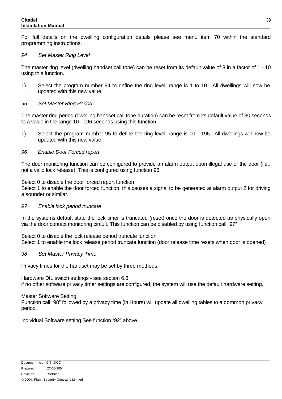#### **Citadel Installation Manual**

For full details on the dwelling configuration details please see menu item 70 within the standard programming instructions.

#### *94 Set Master Ring Level*

The master ring level (dwelling handset call tone) can be reset from its default value of 8 in a factor of 1 - 10 using this function.

- 1) Select the program number 94 to define the ring level, range is 1 to 10. All dwellings will now be updated with this new value.
- *95 Set Master Ring Period*

The master ring period (dwelling handset call tone duration) can be reset from its default value of 30 seconds to a value in the range 10 - 196 seconds using this function.

1) Select the program number 95 to define the ring level, range is 10 - 196. All dwellings will now be updated with this new value.

#### *96 Enable Door Forced report*

The door monitoring function can be configured to provide an alarm output upon illegal use of the door (i.e., not a valid lock release). This is configured using function 96.

Select 0 to disable the door forced report function

Select 1 to enable the door forced function, this causes a signal to be generated at alarm output 2 for driving a sounder or similar.

#### *97 Enable lock period truncate*

In the systems default state the lock timer is truncated (reset) once the door is detected as physically open via the door contact monitoring circuit. This function can be disabled by using function call "97"

Select 0 to disable the lock release period truncate function Select 1 to enable the lock release period truncate function (door release time resets when door is opened)

#### *98 Set Master Privacy Time*

Privacy times for the handset may be set by three methods;

Hardware DIL switch settings - see section 6.3 if no other software privacy timer settings are configured, the system will use the default hardware setting.

#### Master Software Setting

Function call "98" followed by a privacy time (in Hours) will update all dwelling tables to a common privacy period.

Individual Software setting See function "92" above.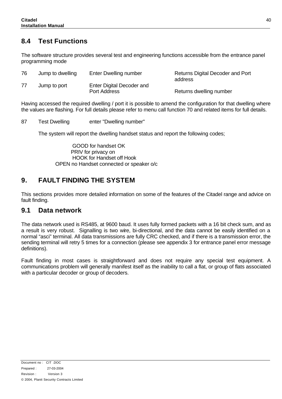### **8.4 Test Functions**

The software structure provides several test and engineering functions accessible from the entrance panel programming mode

| 76 | Jump to dwelling | Enter Dwelling number                     | Returns Digital Decoder and Port<br>address |
|----|------------------|-------------------------------------------|---------------------------------------------|
| 77 | Jump to port     | Enter Digital Decoder and<br>Port Address | Returns dwelling number                     |

Having accessed the required dwelling / port it is possible to amend the configuration for that dwelling where the values are flashing. For full details please refer to menu call function 70 and related items for full details.

|  | 87 | <b>Test Dwelling</b> | enter "Dwelling number" |
|--|----|----------------------|-------------------------|
|--|----|----------------------|-------------------------|

The system will report the dwelling handset status and report the following codes;

GOOD for handset OK PRIV for privacy on HOOK for Handset off Hook OPEN no Handset connected or speaker o/c

### **9. FAULT FINDING THE SYSTEM**

This sections provides more detailed information on some of the features of the Citadel range and advice on fault finding.

### **9.1 Data network**

The data network used is RS485, at 9600 baud. It uses fully formed packets with a 16 bit check sum, and as a result is very robust. Signalling is two wire, bi-directional, and the data cannot be easily identified on a normal "asci" terminal. All data transmissions are fully CRC checked, and if there is a transmission error, the sending terminal will retry 5 times for a connection (please see appendix 3 for entrance panel error message definitions).

Fault finding in most cases is straightforward and does not require any special test equipment. A communications problem will generally manifest itself as the inability to call a flat, or group of flats associated with a particular decoder or group of decoders.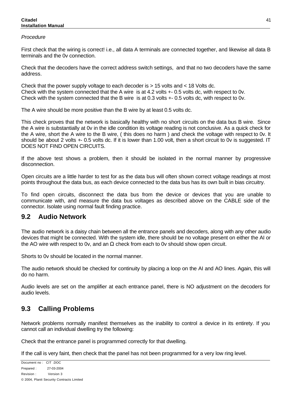#### **Citadel Installation Manual**

#### *Procedure*

First check that the wiring is correct! i.e., all data A terminals are connected together, and likewise all data B terminals and the 0v connection.

Check that the decoders have the correct address switch settings, and that no two decoders have the same address.

Check that the power supply voltage to each decoder is > 15 volts and < 18 Volts dc. Check with the system connected that the A wire is at 4.2 volts +- 0.5 volts dc, with respect to 0v. Check with the system connected that the B wire is at 0.3 volts +- 0.5 volts dc, with respect to 0v.

The A wire should be more positive than the B wire by at least 0.5 volts dc.

This check proves that the network is basically healthy with no short circuits on the data bus B wire. Since the A wire is substantially at 0v in the idle condition its voltage reading is not conclusive. As a quick check for the A wire, short the A wire to the B wire, ( this does no harm ) and check the voltage with respect to 0v. It should be about 2 volts  $+$  0.5 volts dc. If it is lower than 1.00 volt, then a short circuit to 0v is suggested. IT DOES NOT FIND OPEN CIRCUITS.

If the above test shows a problem, then it should be isolated in the normal manner by progressive disconnection.

Open circuits are a little harder to test for as the data bus will often shown correct voltage readings at most points throughout the data bus, as each device connected to the data bus has its own built in bias circuitry.

To find open circuits, disconnect the data bus from the device or devices that you are unable to communicate with, and measure the data bus voltages as described above on the CABLE side of the connector. Isolate using normal fault finding practice.

### **9.2 Audio Network**

The audio network is a daisy chain between all the entrance panels and decoders, along with any other audio devices that might be connected. With the system idle, there should be no voltage present on either the AI or the AO wire with respect to 0v, and an  $\Omega$  check from each to 0v should show open circuit.

Shorts to 0v should be located in the normal manner.

The audio network should be checked for continuity by placing a loop on the AI and AO lines. Again, this will do no harm.

Audio levels are set on the amplifier at each entrance panel, there is NO adjustment on the decoders for audio levels.

### **9.3 Calling Problems**

Network problems normally manifest themselves as the inability to control a device in its entirety. If you cannot call an individual dwelling try the following:

Check that the entrance panel is programmed correctly for that dwelling.

If the call is very faint, then check that the panel has not been programmed for a very low ring level.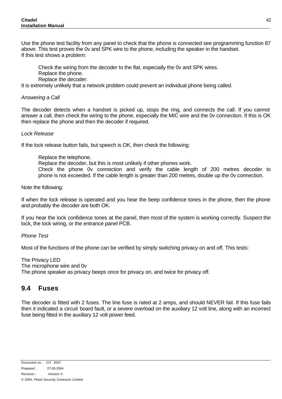Use the phone test facility from any panel to check that the phone is connected see programming function 87 above. This test proves the 0v and SPK wire to the phone, including the speaker in the handset. If this test shows a problem:

Check the wiring from the decoder to the flat, especially the 0v and SPK wires.

Replace the phone.

Replace the decoder.

It is extremely unlikely that a network problem could prevent an individual phone being called.

#### *Answering a Call*

The decoder detects when a handset is picked up, stops the ring, and connects the call. If you cannot answer a call, then check the wiring to the phone, especially the MIC wire and the 0v connection. If this is OK then replace the phone and then the decoder if required.

#### *Lock Release*

If the lock release button fails, but speech is OK, then check the following:

Replace the telephone.

Replace the decoder, but this is most unlikely if other phones work.

Check the phone 0v connection and verify the cable length of 200 metres decoder to phone is not exceeded. If the cable length is greater than 200 metres, double up the 0v connection.

Note the following:

If when the lock release is operated and you hear the beep confidence tones in the phone, then the phone and probably the decoder are both OK.

If you hear the lock confidence tones at the panel, then most of the system is working correctly. Suspect the lock, the lock wiring, or the entrance panel PCB.

#### *Phone Test*

Most of the functions of the phone can be verified by simply switching privacy on and off. This tests:

The Privacy LED The microphone wire and 0v The phone speaker as privacy beeps once for privacy on, and twice for privacy off.

### **9.4 Fuses**

The decoder is fitted with 2 fuses. The line fuse is rated at 2 amps, and should NEVER fail. If this fuse fails then it indicated a circuit board fault, or a severe overload on the auxiliary 12 volt line, along with an incorrect fuse being fitted in the auxiliary 12 volt power feed.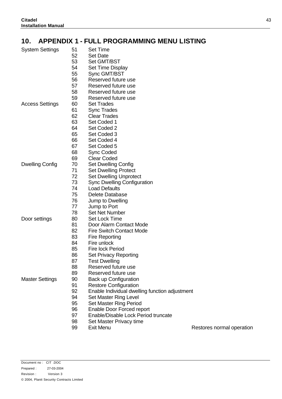### **10. APPENDIX 1 - FULL PROGRAMMING MENU LISTING**

| System Settings        | 51 | Set Time            |
|------------------------|----|---------------------|
|                        | 52 | Set Date            |
|                        | 53 | Set GMT/BST         |
|                        | 54 | Set Time Display    |
|                        | 55 | Sync GMT/BST        |
|                        | 56 | Reserved future use |
|                        | 57 | Reserved future use |
|                        | 58 | Reserved future use |
|                        | 59 | Reserved future use |
| <b>Access Settings</b> | 60 | Set Trades          |
|                        | 61 | <b>Sync Trades</b>  |
|                        | 62 | <b>Clear Trades</b> |
|                        | 63 | Set Coded 1         |
|                        | 64 | Set Coded 2         |
|                        | 65 | Set Coded 3         |
|                        | 66 | Set Coded 4         |
|                        | 67 | Set Coded 5         |

Dwelling Config 70 Set Dwelling Config

- Set Dwelling Protect
	- Set Dwelling Unprotect
	- Sync Dwelling Configuration
- Load Defaults

68 Sync Coded Clear Coded

- Delete Database
- Jump to Dwelling
- Jump to Port
- Set Net Number

Door settings 80 Set Lock Time

- Door Alarm Contact Mode
- Fire Switch Contact Mode
- Fire Reporting
- Fire unlock
- Fire lock Period
- 86 Set Privacy Reporting
- Test Dwelling
- Reserved future use
- Reserved future use
- Master Settings 90 Back up Configuration
	- Restore Configuration
	- Enable Individual dwelling function adjustment
	- Set Master Ring Level
	- Set Master Ring Period
	- Enable Door Forced report
	- Enable/Disable Lock Period truncate
	- Set Master Privacy time
	-
	- Exit Menu Restores normal operation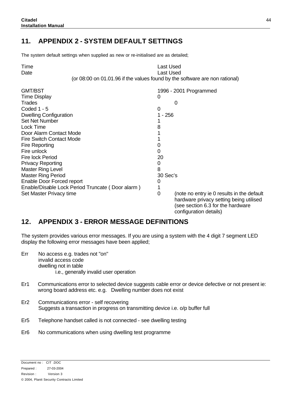### **11. APPENDIX 2 - SYSTEM DEFAULT SETTINGS**

The system default settings when supplied as new or re-initialised are as detailed;

| Time                                             | <b>Last Used</b>                                                                                                                                          |
|--------------------------------------------------|-----------------------------------------------------------------------------------------------------------------------------------------------------------|
| Date                                             | Last Used                                                                                                                                                 |
|                                                  | (or 08:00 on 01.01.96 if the values found by the software are non rational)                                                                               |
| <b>GMT/BST</b>                                   | 1996 - 2001 Programmed                                                                                                                                    |
| <b>Time Display</b>                              | 0                                                                                                                                                         |
| <b>Trades</b>                                    | $\Omega$                                                                                                                                                  |
| Coded 1 - 5                                      | 0                                                                                                                                                         |
| <b>Dwelling Configuration</b>                    | $1 - 256$                                                                                                                                                 |
| <b>Set Net Number</b>                            |                                                                                                                                                           |
| Lock Time                                        | 8                                                                                                                                                         |
| Door Alarm Contact Mode                          |                                                                                                                                                           |
| <b>Fire Switch Contact Mode</b>                  |                                                                                                                                                           |
| <b>Fire Reporting</b>                            | 0                                                                                                                                                         |
| Fire unlock                                      | 0                                                                                                                                                         |
| <b>Fire lock Period</b>                          | 20                                                                                                                                                        |
| <b>Privacy Reporting</b>                         | 0                                                                                                                                                         |
| <b>Master Ring Level</b>                         | 8                                                                                                                                                         |
| <b>Master Ring Period</b>                        | 30 Sec's                                                                                                                                                  |
| Enable Door Forced report                        | 0                                                                                                                                                         |
| Enable/Disable Lock Period Truncate (Door alarm) |                                                                                                                                                           |
| Set Master Privacy time                          | 0<br>(note no entry ie 0 results in the default<br>hardware privacy setting being utilised<br>(see section 6.3 for the hardware<br>configuration details) |

### **12. APPENDIX 3 - ERROR MESSAGE DEFINITIONS**

The system provides various error messages. If you are using a system with the 4 digit 7 segment LED display the following error messages have been applied;

- Err No access e.g. trades not "on" invalid access code dwelling not in table i.e., generally invalid user operation
- Er1 Communications error to selected device suggests cable error or device defective or not present ie: wrong board address etc. e.g. Dwelling number does not exist
- Er2 Communications error self recovering Suggests a transaction in progress on transmitting device i.e. o/p buffer full
- Er5 Telephone handset called is not connected see dwelling testing
- Er6 No communications when using dwelling test programme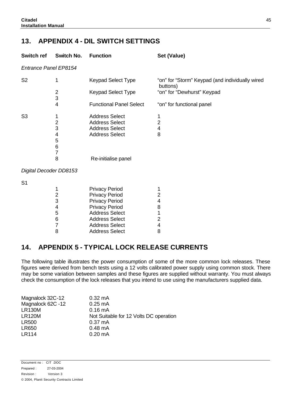### **13. APPENDIX 4 - DIL SWITCH SETTINGS**

| Switch ref                   | Switch No.                                  | <b>Function</b>                | Set (Value)                                                 |
|------------------------------|---------------------------------------------|--------------------------------|-------------------------------------------------------------|
| <b>Entrance Panel EP8154</b> |                                             |                                |                                                             |
| S <sub>2</sub>               | 1                                           | Keypad Select Type             | "on" for "Storm" Keypad (and individually wired<br>buttons) |
|                              | $\overline{2}$<br>$\ensuremath{\mathsf{3}}$ | Keypad Select Type             | "on" for "Dewhurst" Keypad                                  |
|                              | 4                                           | <b>Functional Panel Select</b> | "on" for functional panel                                   |
| S <sub>3</sub>               | 1                                           | <b>Address Select</b>          |                                                             |
|                              | $\overline{c}$                              | <b>Address Select</b>          | 2                                                           |
|                              | 3                                           | <b>Address Select</b>          | $\overline{\mathbf{4}}$                                     |
|                              | 4                                           | <b>Address Select</b>          | 8                                                           |
|                              | 5                                           |                                |                                                             |
|                              | 6                                           |                                |                                                             |
|                              | 7                                           |                                |                                                             |
|                              | 8                                           | Re-initialise panel            |                                                             |
| Digital Decoder DD8153       |                                             |                                |                                                             |
| S <sub>1</sub>               |                                             |                                |                                                             |
|                              | 1                                           | <b>Privacy Period</b>          |                                                             |
|                              | $\mathbf 2$                                 | <b>Privacy Period</b>          | 2                                                           |
|                              | 3                                           | <b>Privacy Period</b>          | 4                                                           |
|                              | $\overline{\mathbf{4}}$                     | <b>Privacy Period</b>          | 8                                                           |
|                              | 5                                           | <b>Address Select</b>          |                                                             |
|                              | $\,$ 6 $\,$                                 | <b>Address Select</b>          | $\overline{2}$                                              |
|                              | $\overline{7}$                              | <b>Address Select</b>          | 4                                                           |

### **14. APPENDIX 5 - TYPICAL LOCK RELEASE CURRENTS**

8 Address Select 8

The following table illustrates the power consumption of some of the more common lock releases. These figures were derived from bench tests using a 12 volts calibrated power supply using common stock. There may be some variation between samples and these figures are supplied without warranty. You must always check the consumption of the lock releases that you intend to use using the manufacturers supplied data.

| Magnalock 32C-12  | $0.32 \text{ mA}$                      |
|-------------------|----------------------------------------|
| Magnalock 62C -12 | $0.25 \text{ mA}$                      |
| <b>LR130M</b>     | $0.16 \text{ mA}$                      |
| <b>LR120M</b>     | Not Suitable for 12 Volts DC operation |
| <b>LR500</b>      | $0.37 \text{ mA}$                      |
| <b>LR650</b>      | $0.48 \text{ mA}$                      |
| <b>LR114</b>      | $0.20 \text{ mA}$                      |
|                   |                                        |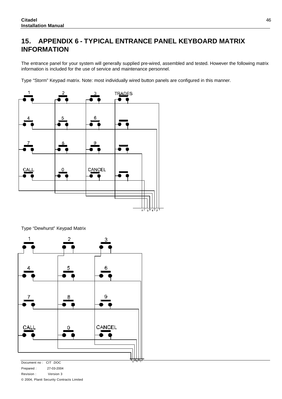### **15. APPENDIX 6 - TYPICAL ENTRANCE PANEL KEYBOARD MATRIX INFORMATION**

The entrance panel for your system will generally supplied pre-wired, assembled and tested. However the following matrix information is included for the use of service and maintenance personnel.

Type "Storm" Keypad matrix. Note: most individually wired button panels are configured in this manner.



Type "Dewhurst" Keypad Matrix



Document no : CIT .DOC Prepared : 27-03-2004 Revision : Version 3 © 2004, Planit Security Contracts Limited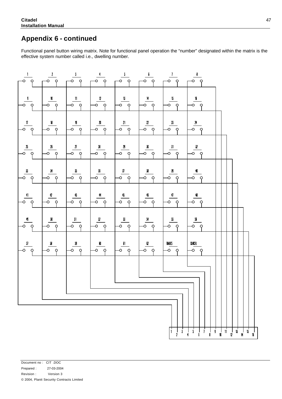## **Appendix 6 - continued**

Functional panel button wiring matrix. Note for functional panel operation the "number" designated within the matrix is the effective system number called i.e., dwelling number.

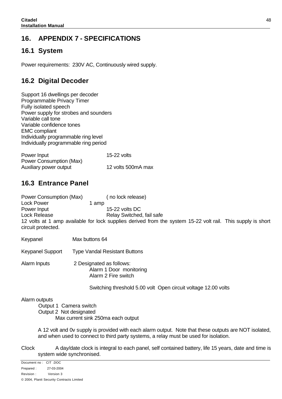### **16. APPENDIX 7 - SPECIFICATIONS**

### **16.1 System**

Power requirements: 230V AC, Continuously wired supply.

### **16.2 Digital Decoder**

Support 16 dwellings per decoder Programmable Privacy Timer Fully isolated speech Power supply for strobes and sounders Variable call tone Variable confidence tones EMC compliant Individually programmable ring level Individually programmable ring period

| Power Input             | 15-22 volts        |
|-------------------------|--------------------|
| Power Consumption (Max) |                    |
| Auxiliary power output  | 12 volts 500mA max |

### **16.3 Entrance Panel**

Power Consumption (Max) ( no lock release) Lock Power 1 amp Power Input 15-22 volts DC Lock Release **Relay Switched, fail safe** 12 volts at 1 amp available for lock supplies derived from the system 15-22 volt rail. This supply is short circuit protected.

Keypanel Max buttons 64

Keypanel Support Type Vandal Resistant Buttons

Alarm Inputs 2 Designated as follows: Alarm 1 Door monitoring Alarm 2 Fire switch

Switching threshold 5.00 volt Open circuit voltage 12.00 volts

#### Alarm outputs

Output 1 Camera switch Output 2 Not designated Max current sink 250ma each output

A 12 volt and 0v supply is provided with each alarm output. Note that these outputs are NOT isolated, and when used to connect to third party systems, a relay must be used for isolation.

Clock A day/date clock is integral to each panel, self contained battery, life 15 years, date and time is system wide synchronised.

Document no : CIT .DOC Prepared : 27-03-2004 Revision : Version 3 © 2004, Planit Security Contracts Limited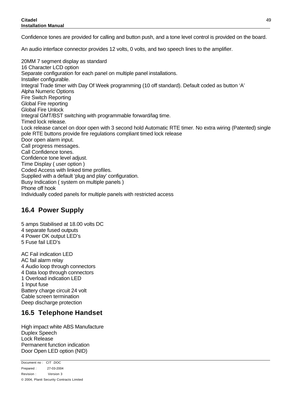Confidence tones are provided for calling and button push, and a tone level control is provided on the board.

An audio interface connector provides 12 volts, 0 volts, and two speech lines to the amplifier.

20MM 7 segment display as standard 16 Character LCD option Separate configuration for each panel on multiple panel installations. Installer configurable. Integral Trade timer with Day Of Week programming (10 off standard). Default coded as button 'A' Alpha Numeric Options Fire Switch Reporting Global Fire reporting Global Fire Unlock Integral GMT/BST switching with programmable forward/lag time. Timed lock release. Lock release cancel on door open with 3 second hold Automatic RTE timer. No extra wiring (Patented) single pole RTE buttons provide fire regulations compliant timed lock release Door open alarm input. Call progress messages. Call Confidence tones. Confidence tone level adjust. Time Display ( user option ) Coded Access with linked time profiles. Supplied with a default 'plug and play' configuration. Busy Indication ( system on multiple panels ) Phone off hook Individually coded panels for multiple panels with restricted access

### **16.4 Power Supply**

5 amps Stabilised at 18.00 volts DC 4 separate fused outputs 4 Power OK output LED's 5 Fuse fail LED's AC Fail indication LED AC fail alarm relay 4 Audio loop through connectors 4 Data loop through connectors 1 Overload indication LED 1 Input fuse Battery charge circuit 24 volt Cable screen termination

Deep discharge protection

### **16.5 Telephone Handset**

High impact white ABS Manufacture Duplex Speech Lock Release Permanent function indication Door Open LED option (NID)

Document no : CIT .DOC Prepared : 27-03-2004 Revision : Version 3 © 2004, Planit Security Contracts Limited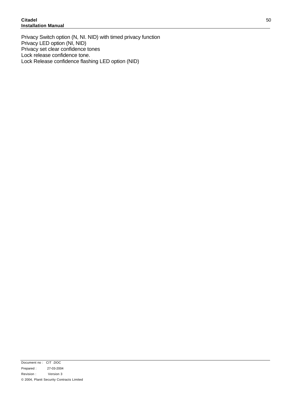Privacy Switch option (N, NI. NID) with timed privacy function Privacy LED option (NI, NID) Privacy set clear confidence tones Lock release confidence tone. Lock Release confidence flashing LED option (NID)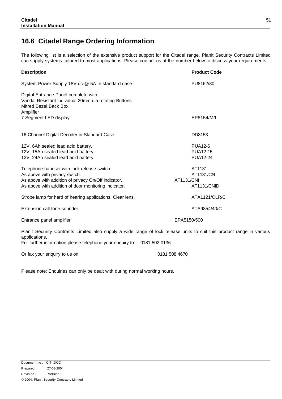### **16.6 Citadel Range Ordering Information**

The following list is a selection of the extensive product support for the Citadel range. Planit Security Contracts Limited can supply systems tailored to most applications. Please contact us at the number below to discuss your requirements.

| <b>Description</b>                                                                                                                                                                          | <b>Product Code</b>                                     |
|---------------------------------------------------------------------------------------------------------------------------------------------------------------------------------------------|---------------------------------------------------------|
| System Power Supply 18V dc @ 5A In standard case                                                                                                                                            | PU8162/80                                               |
| Digital Entrance Panel complete with<br>Vandal Resistant individual 20mm dia rotating Buttons<br>Mitred Bezel Back Box<br>Amplifier                                                         |                                                         |
| 7 Segment LED display                                                                                                                                                                       | EP8154/M/L                                              |
| 16 Channel Digital Decoder in Standard Case                                                                                                                                                 | DD8153                                                  |
| 12V, 6Ah sealed lead acid battery.<br>12V, 15Ah sealed lead acid battery.<br>12V, 24Ah sealed lead acid battery.                                                                            | <b>PUA12-6</b><br><b>PUA12-15</b><br><b>PUA12-24</b>    |
| Telephone handset with lock release switch.<br>As above with privacy switch.<br>As above with addition of privacy On/Off indicator.<br>As above with addition of door monitoring indicator. | AT1131<br>AT1131/CN<br><b>AT1131/CNI</b><br>AT1131/CNID |
| Strobe lamp for hard of hearing applications. Clear lens.                                                                                                                                   | ATA1121/CLR/C                                           |
| Extension call tone sounder.                                                                                                                                                                | ATA9854/40/C                                            |
| Entrance panel amplifier                                                                                                                                                                    | EPA5150/500                                             |
| Planit Security Contracts Limited also supply a wide range of lock release units to suit this product range in various<br>applications.                                                     |                                                         |

For further information please telephone your enquiry to: 0181 502 0136

Or fax your enquiry to us on 0181 508 4670

Please note: Enquiries can only be dealt with during normal working hours.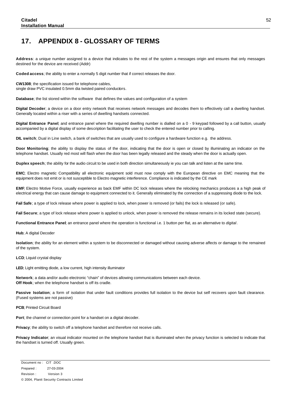### **17. APPENDIX 8 - GLOSSARY OF TERMS**

**Address**: a unique number assigned to a device that indicates to the rest of the system a messages origin and ensures that only messages destined for the device are received (Addr)

**Coded access**; the ability to enter a normally 5 digit number that if correct releases the door.

**CW1308**; the specification issued for telephone cables, single draw PVC insulated 0.5mm dia twisted paired conductors.

**Database**; the list stored within the software that defines the values and configuration of a system

**Digital Decoder**; a device on a door entry network that receives network messages and decodes them to effectively call a dwelling handset. Generally located within a riser with a series of dwelling handsets connected.

**Digital Entrance Panel**; and entrance panel where the required dwelling number is dialled on a 0 - 9 keypad followed by a call button, usually accompanied by a digital display of some description facilitating the user to check the entered number prior to calling.

**DIL switch**; Dual in Line switch, a bank of switches that are usually used to configure a hardware function e.g. the address.

**Door Monitoring**; the ability to display the status of the door, indicating that the door is open or closed by illuminating an indicator on the telephone handset. Usually red most will flash when the door has been legally released and the steady when the door is actually open.

**Duplex speech**; the ability for the audio circuit to be used in both direction simultaneously ie you can talk and listen at the same time.

**EMC**; Electro magnetic Compatibility all electronic equipment sold must now comply with the European directive on EMC meaning that the equipment does not emit or is not susceptible to Electro magnetic interference. Compliance is indicated by the CE mark

**EMF**; Electro Motive Force, usually experience as back EMF within DC lock releases where the relocking mechanics produces a a high peak of electrical energy that can cause damage to equipment connected to it. Generally eliminated by the connection of a suppressing diode to the lock.

**Fail Safe**; a type of lock release where power is applied to lock, when power is removed (or fails) the lock is released (or safe).

**Fail Secure**; a type of lock release where power is applied to unlock, when power is removed the release remains in its locked state (secure).

**Functional Entrance Panel**; an entrance panel where the operation is functional i.e. 1 button per flat, as an alternative to *digital*.

**Hub**; A digital Decoder

**Isolation**; the ability for an element within a system to be disconnected or damaged without causing adverse affects or damage to the remained of the system.

**LCD**; Liquid crystal display

**LED**; Light emitting diode, a low current, high intensity illuminator

**Network**; a data and/or audio electronic "chain" of devices allowing communications between each device. **Off Hook**; when the telephone handset is off its cradle.

**Passive Isolation**; a form of isolation that under fault conditions provides full isolation to the device but self recovers upon fault clearance. (Fused systems are not passive)

**PCB**; Printed Circuit Board

Port; the channel or connection point for a handset on a digital decoder.

**Privacy**; the ability to switch off a telephone handset and therefore not receive calls.

**Privacy Indicator**; an visual indicator mounted on the telephone handset that is illuminated when the privacy function is selected to indicate that the handset is turned off. Usually green.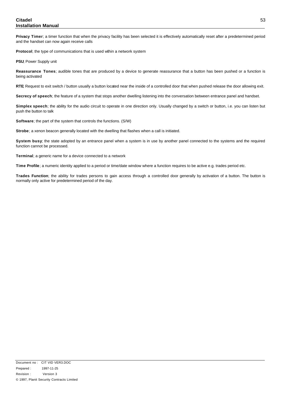#### **Citadel Installation Manual**

**Privacy Timer**; a timer function that when the privacy facility has been selected it is effectively automatically reset after a predetermined period and the handset can now again receive calls

Protocol; the type of communications that is used wihin a network system

**PSU**; Power Supply unit

**Reassurance Tones**; audible tones that are produced by a device to generate reassurance that a button has been pushed or a function is being activated

**RTE**; Request to exit switch / button usually a button located near the inside of a controlled door that when pushed release the door allowing exit.

**Secrecy of speech**; the feature of a system that stops another dwelling listening into the conversation between entrance panel and handset.

**Simplex speech**; the ability for the audio circuit to operate in one direction only. Usually changed by a switch or button, i.e. you can listen but push the button to talk

**Software**; the part of the system that controls the functions. (S/W)

**Strobe**; a xenon beacon generally located with the dwelling that flashes when a call is initiated.

**System busy**; the state adopted by an entrance panel when a system is in use by another panel connected to the systems and the required function cannot be processed.

**Terminal**; a generic name for a device connected to a network

**Time Profile**; a numeric identity applied to a period or time/date window where a function requires to be active e.g. trades period etc.

**Trades Function**; the ability for trades persons to gain access through a controlled door generally by activation of a button. The button is normally only active for predetermined period of the day.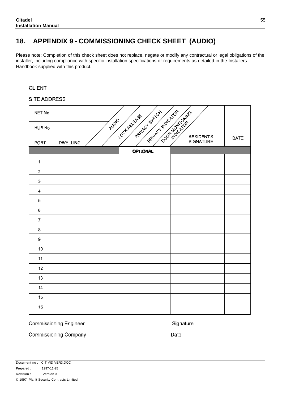### **18. APPENDIX 9 - COMMISSIONING CHECK SHEET (AUDIO)**

Please note: Completion of this check sheet does not replace, negate or modify any contractual or legal obligations of the installer, including compliance with specific installation specifications or requirements as detailed in the Installers Handbook supplied with this product.

| NET No        |                                                         |       |                 |                                            |      |
|---------------|---------------------------------------------------------|-------|-----------------|--------------------------------------------|------|
| <b>HUB No</b> |                                                         | Augio |                 | <b>COLLEGE SPENIES STREET OF A SPENIES</b> |      |
| <b>PORT</b>   | <b>DWELLING</b>                                         |       |                 | <b>RESIDENTS</b><br><b>SIGNATURE</b>       | DATE |
|               |                                                         |       | <b>OPTIONAL</b> |                                            |      |
| $\mathbf{1}$  |                                                         |       |                 |                                            |      |
| 2             |                                                         |       |                 |                                            |      |
| 3             |                                                         |       |                 |                                            |      |
| 4             |                                                         |       |                 |                                            |      |
| 5             |                                                         |       |                 |                                            |      |
| 6.            |                                                         |       |                 |                                            |      |
| 7             |                                                         |       |                 |                                            |      |
| 8             |                                                         |       |                 |                                            |      |
| 9.            |                                                         |       |                 |                                            |      |
| 10            |                                                         |       |                 |                                            |      |
| 11            |                                                         |       |                 |                                            |      |
| 12            |                                                         |       |                 |                                            |      |
| 13            |                                                         |       |                 |                                            |      |
| 14            |                                                         |       |                 |                                            |      |
| 15            |                                                         |       |                 |                                            |      |
| 16            |                                                         |       |                 |                                            |      |
|               | Commissioning Engineer ________________________________ |       |                 | Signature _____________________            |      |